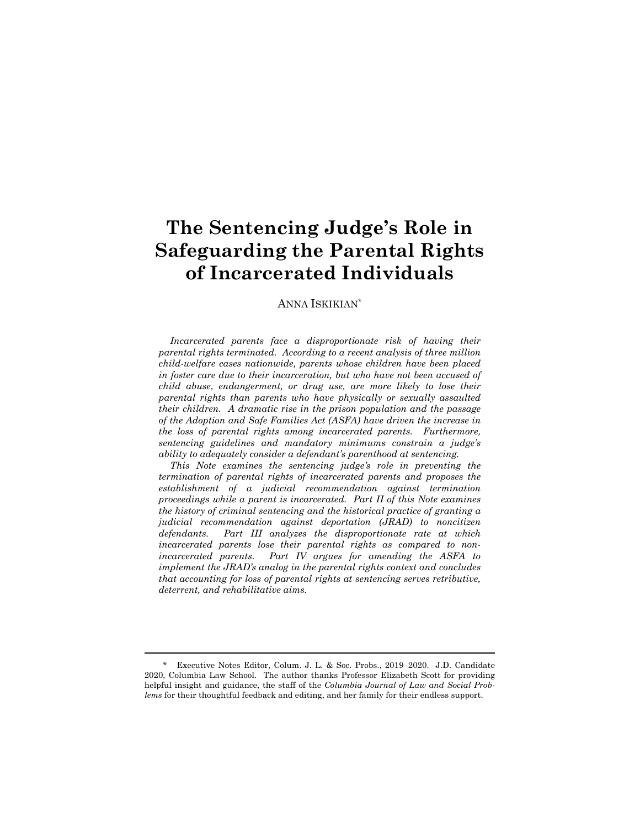# **The Sentencing Judge's Role in Safeguarding the Parental Rights of Incarcerated Individuals**

#### ANNA ISKIKIAN\*

*Incarcerated parents face a disproportionate risk of having their parental rights terminated. According to a recent analysis of three million child-welfare cases nationwide, parents whose children have been placed in foster care due to their incarceration, but who have not been accused of child abuse, endangerment, or drug use, are more likely to lose their parental rights than parents who have physically or sexually assaulted their children. A dramatic rise in the prison population and the passage of the Adoption and Safe Families Act (ASFA) have driven the increase in the loss of parental rights among incarcerated parents. Furthermore, sentencing guidelines and mandatory minimums constrain a judge's ability to adequately consider a defendant's parenthood at sentencing.* 

*This Note examines the sentencing judge's role in preventing the termination of parental rights of incarcerated parents and proposes the establishment of a judicial recommendation against termination proceedings while a parent is incarcerated. Part II of this Note examines the history of criminal sentencing and the historical practice of granting a judicial recommendation against deportation (JRAD) to noncitizen defendants. Part III analyzes the disproportionate rate at which incarcerated parents lose their parental rights as compared to nonincarcerated parents. Part IV argues for amending the ASFA to implement the JRAD's analog in the parental rights context and concludes that accounting for loss of parental rights at sentencing serves retributive, deterrent, and rehabilitative aims.* 

<sup>\*</sup> Executive Notes Editor, Colum. J. L. & Soc. Probs., 2019–2020. J.D. Candidate 2020, Columbia Law School. The author thanks Professor Elizabeth Scott for providing helpful insight and guidance, the staff of the *Columbia Journal of Law and Social Problems* for their thoughtful feedback and editing, and her family for their endless support.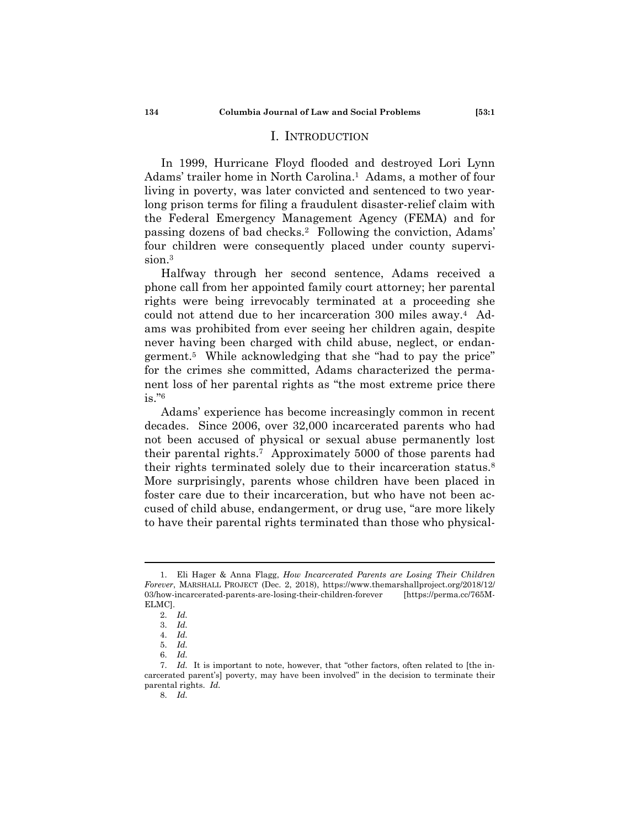#### I. INTRODUCTION

In 1999, Hurricane Floyd flooded and destroyed Lori Lynn Adams' trailer home in North Carolina.<sup>1</sup> Adams, a mother of four living in poverty, was later convicted and sentenced to two yearlong prison terms for filing a fraudulent disaster-relief claim with the Federal Emergency Management Agency (FEMA) and for passing dozens of bad checks.2 Following the conviction, Adams' four children were consequently placed under county supervision.3

Halfway through her second sentence, Adams received a phone call from her appointed family court attorney; her parental rights were being irrevocably terminated at a proceeding she could not attend due to her incarceration 300 miles away.4 Adams was prohibited from ever seeing her children again, despite never having been charged with child abuse, neglect, or endangerment.5 While acknowledging that she "had to pay the price" for the crimes she committed, Adams characterized the permanent loss of her parental rights as "the most extreme price there is."6

Adams' experience has become increasingly common in recent decades. Since 2006, over 32,000 incarcerated parents who had not been accused of physical or sexual abuse permanently lost their parental rights.7 Approximately 5000 of those parents had their rights terminated solely due to their incarceration status.8 More surprisingly, parents whose children have been placed in foster care due to their incarceration, but who have not been accused of child abuse, endangerment, or drug use, "are more likely to have their parental rights terminated than those who physical-

 <sup>1.</sup> Eli Hager & Anna Flagg, *How Incarcerated Parents are Losing Their Children Forever*, MARSHALL PROJECT (Dec. 2, 2018), https://www.themarshallproject.org/2018/12/ 03/how-incarcerated-parents-are-losing-their-children-forever [https://perma.cc/765M-ELMC].

 <sup>2.</sup> *Id.* 

 <sup>3.</sup> *Id.*

 <sup>4.</sup> *Id.*

 <sup>5.</sup> *Id.*

 <sup>6.</sup> *Id.*

 <sup>7.</sup> *Id.* It is important to note, however, that "other factors, often related to [the incarcerated parent's] poverty, may have been involved" in the decision to terminate their parental rights. *Id.*

 <sup>8.</sup> *Id.*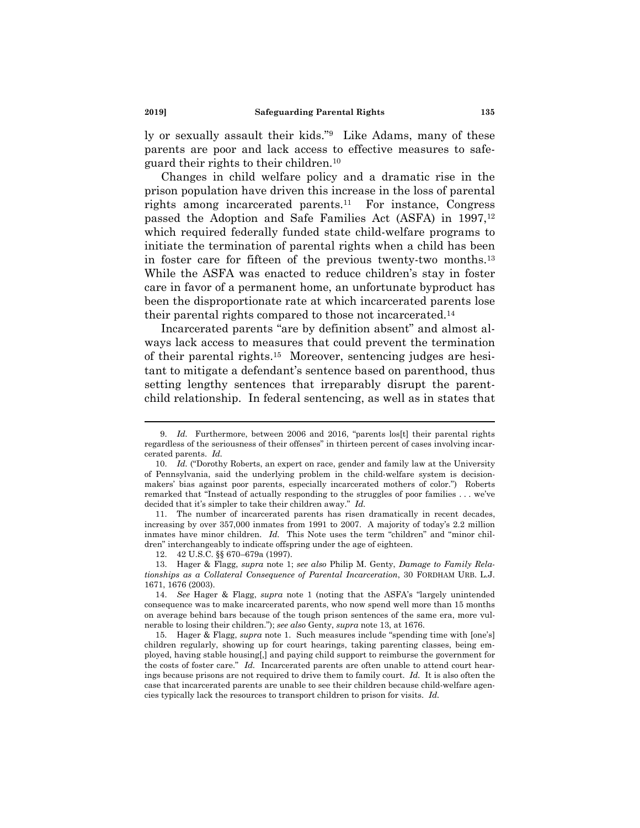ly or sexually assault their kids."9 Like Adams, many of these parents are poor and lack access to effective measures to safeguard their rights to their children.10

Changes in child welfare policy and a dramatic rise in the prison population have driven this increase in the loss of parental rights among incarcerated parents.11 For instance, Congress passed the Adoption and Safe Families Act (ASFA) in 1997,<sup>12</sup> which required federally funded state child-welfare programs to initiate the termination of parental rights when a child has been in foster care for fifteen of the previous twenty-two months.13 While the ASFA was enacted to reduce children's stay in foster care in favor of a permanent home, an unfortunate byproduct has been the disproportionate rate at which incarcerated parents lose their parental rights compared to those not incarcerated.14

Incarcerated parents "are by definition absent" and almost always lack access to measures that could prevent the termination of their parental rights.15 Moreover, sentencing judges are hesitant to mitigate a defendant's sentence based on parenthood, thus setting lengthy sentences that irreparably disrupt the parentchild relationship. In federal sentencing, as well as in states that

 11. The number of incarcerated parents has risen dramatically in recent decades, increasing by over 357,000 inmates from 1991 to 2007. A majority of today's 2.2 million inmates have minor children. *Id.* This Note uses the term "children" and "minor children" interchangeably to indicate offspring under the age of eighteen.

12. 42 U.S.C. §§ 670–679a (1997).

<sup>9.</sup> *Id.* Furthermore, between 2006 and 2016, "parents lost their parental rights regardless of the seriousness of their offenses" in thirteen percent of cases involving incarcerated parents. *Id.*

 <sup>10.</sup> *Id.* ("Dorothy Roberts, an expert on race, gender and family law at the University of Pennsylvania, said the underlying problem in the child-welfare system is decisionmakers' bias against poor parents, especially incarcerated mothers of color.") Roberts remarked that "Instead of actually responding to the struggles of poor families . . . we've decided that it's simpler to take their children away." *Id.*

 <sup>13.</sup> Hager & Flagg, *supra* note 1; *see also* Philip M. Genty, *Damage to Family Relationships as a Collateral Consequence of Parental Incarceration*, 30 FORDHAM URB. L.J. 1671, 1676 (2003).

 <sup>14.</sup> *See* Hager & Flagg, *supra* note 1 (noting that the ASFA's "largely unintended consequence was to make incarcerated parents, who now spend well more than 15 months on average behind bars because of the tough prison sentences of the same era, more vulnerable to losing their children."); *see also* Genty, *supra* note 13, at 1676.

 <sup>15.</sup> Hager & Flagg, *supra* note 1. Such measures include "spending time with [one's] children regularly, showing up for court hearings, taking parenting classes, being employed, having stable housing[,] and paying child support to reimburse the government for the costs of foster care." *Id.* Incarcerated parents are often unable to attend court hearings because prisons are not required to drive them to family court. *Id.* It is also often the case that incarcerated parents are unable to see their children because child-welfare agencies typically lack the resources to transport children to prison for visits. *Id.*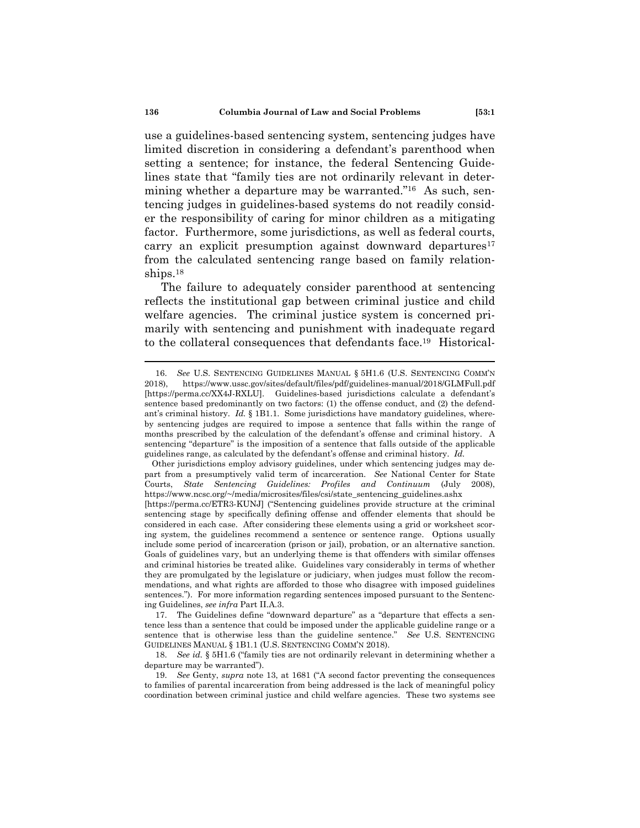use a guidelines-based sentencing system, sentencing judges have limited discretion in considering a defendant's parenthood when setting a sentence; for instance, the federal Sentencing Guidelines state that "family ties are not ordinarily relevant in determining whether a departure may be warranted."16 As such, sentencing judges in guidelines-based systems do not readily consider the responsibility of caring for minor children as a mitigating factor. Furthermore, some jurisdictions, as well as federal courts, carry an explicit presumption against downward departures<sup>17</sup> from the calculated sentencing range based on family relationships.18

The failure to adequately consider parenthood at sentencing reflects the institutional gap between criminal justice and child welfare agencies. The criminal justice system is concerned primarily with sentencing and punishment with inadequate regard to the collateral consequences that defendants face.19 Historical-

 <sup>16.</sup> *See* U.S. SENTENCING GUIDELINES MANUAL § 5H1.6 (U.S. SENTENCING COMM'N 2018), https://www.ussc.gov/sites/default/files/pdf/guidelines-manual/2018/GLMFull.pdf [https://perma.cc/XX4J-RXLU]. Guidelines-based jurisdictions calculate a defendant's sentence based predominantly on two factors: (1) the offense conduct, and (2) the defendant's criminal history. *Id.* § 1B1.1. Some jurisdictions have mandatory guidelines, whereby sentencing judges are required to impose a sentence that falls within the range of months prescribed by the calculation of the defendant's offense and criminal history. A sentencing "departure" is the imposition of a sentence that falls outside of the applicable guidelines range, as calculated by the defendant's offense and criminal history. *Id.*

Other jurisdictions employ advisory guidelines, under which sentencing judges may depart from a presumptively valid term of incarceration. *See* National Center for State Courts, *State Sentencing Guidelines: Profiles and Continuum* (July 2008), https://www.ncsc.org/~/media/microsites/files/csi/state\_sentencing\_guidelines.ashx [https://perma.cc/ETR3-KUNJ] ("Sentencing guidelines provide structure at the criminal sentencing stage by specifically defining offense and offender elements that should be considered in each case. After considering these elements using a grid or worksheet scoring system, the guidelines recommend a sentence or sentence range. Options usually include some period of incarceration (prison or jail), probation, or an alternative sanction. Goals of guidelines vary, but an underlying theme is that offenders with similar offenses and criminal histories be treated alike. Guidelines vary considerably in terms of whether they are promulgated by the legislature or judiciary, when judges must follow the recommendations, and what rights are afforded to those who disagree with imposed guidelines sentences."). For more information regarding sentences imposed pursuant to the Sentencing Guidelines, *see infra* Part II.A.3.

 <sup>17.</sup> The Guidelines define "downward departure" as a "departure that effects a sentence less than a sentence that could be imposed under the applicable guideline range or a sentence that is otherwise less than the guideline sentence." *See* U.S. SENTENCING GUIDELINES MANUAL § 1B1.1 (U.S. SENTENCING COMM'N 2018).

 <sup>18.</sup> *See id.* § 5H1.6 ("family ties are not ordinarily relevant in determining whether a departure may be warranted").

 <sup>19.</sup> *See* Genty, *supra* note 13, at 1681 ("A second factor preventing the consequences to families of parental incarceration from being addressed is the lack of meaningful policy coordination between criminal justice and child welfare agencies. These two systems see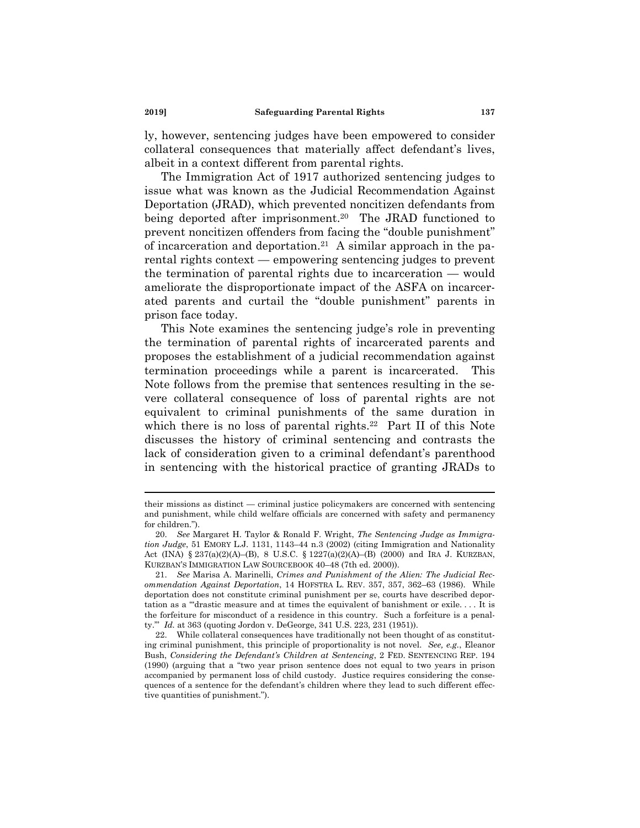ly, however, sentencing judges have been empowered to consider collateral consequences that materially affect defendant's lives, albeit in a context different from parental rights.

The Immigration Act of 1917 authorized sentencing judges to issue what was known as the Judicial Recommendation Against Deportation (JRAD), which prevented noncitizen defendants from being deported after imprisonment.<sup>20</sup> The JRAD functioned to prevent noncitizen offenders from facing the "double punishment" of incarceration and deportation.<sup>21</sup> A similar approach in the parental rights context — empowering sentencing judges to prevent the termination of parental rights due to incarceration — would ameliorate the disproportionate impact of the ASFA on incarcerated parents and curtail the "double punishment" parents in prison face today.

This Note examines the sentencing judge's role in preventing the termination of parental rights of incarcerated parents and proposes the establishment of a judicial recommendation against termination proceedings while a parent is incarcerated. This Note follows from the premise that sentences resulting in the severe collateral consequence of loss of parental rights are not equivalent to criminal punishments of the same duration in which there is no loss of parental rights.<sup>22</sup> Part II of this Note discusses the history of criminal sentencing and contrasts the lack of consideration given to a criminal defendant's parenthood in sentencing with the historical practice of granting JRADs to

their missions as distinct — criminal justice policymakers are concerned with sentencing and punishment, while child welfare officials are concerned with safety and permanency for children.").

 <sup>20.</sup> *See* Margaret H. Taylor & Ronald F. Wright, *The Sentencing Judge as Immigration Judge*, 51 EMORY L.J. 1131, 1143–44 n.3 (2002) (citing Immigration and Nationality Act (INA) § 237(a)(2)(A)–(B), 8 U.S.C. § 1227(a)(2)(A)–(B) (2000) and IRA J. KURZBAN, KURZBAN'S IMMIGRATION LAW SOURCEBOOK 40–48 (7th ed. 2000)).

 <sup>21.</sup> *See* Marisa A. Marinelli, *Crimes and Punishment of the Alien: The Judicial Recommendation Against Deportation*, 14 HOFSTRA L. REV. 357, 357, 362–63 (1986). While deportation does not constitute criminal punishment per se, courts have described deportation as a "'drastic measure and at times the equivalent of banishment or exile. . . . It is the forfeiture for misconduct of a residence in this country. Such a forfeiture is a penalty.'" *Id.* at 363 (quoting Jordon v. DeGeorge, 341 U.S. 223, 231 (1951)).

 <sup>22.</sup> While collateral consequences have traditionally not been thought of as constituting criminal punishment, this principle of proportionality is not novel. *See, e.g.*, Eleanor Bush, *Considering the Defendant's Children at Sentencing*, 2 FED. SENTENCING REP. 194 (1990) (arguing that a "two year prison sentence does not equal to two years in prison accompanied by permanent loss of child custody. Justice requires considering the consequences of a sentence for the defendant's children where they lead to such different effective quantities of punishment.").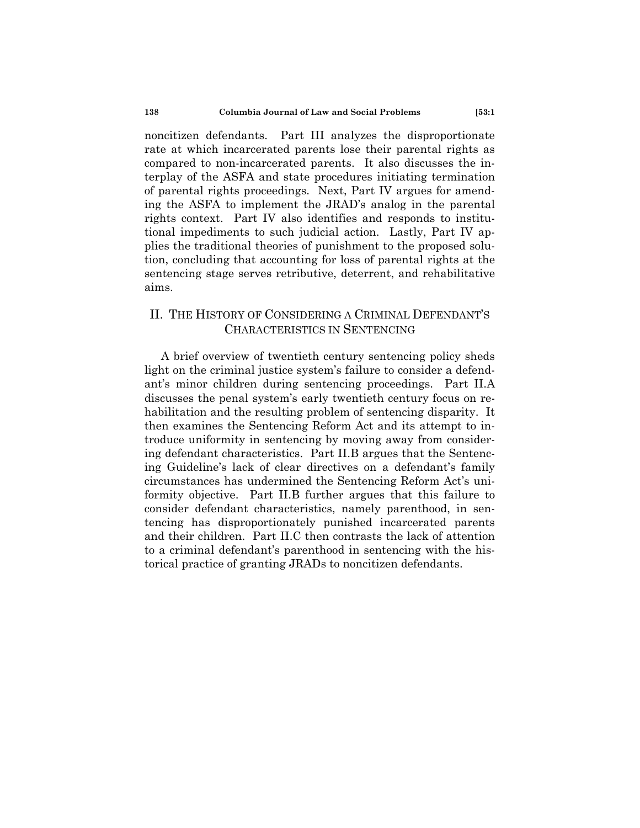noncitizen defendants. Part III analyzes the disproportionate rate at which incarcerated parents lose their parental rights as compared to non-incarcerated parents. It also discusses the interplay of the ASFA and state procedures initiating termination of parental rights proceedings. Next, Part IV argues for amending the ASFA to implement the JRAD's analog in the parental rights context. Part IV also identifies and responds to institutional impediments to such judicial action. Lastly, Part IV applies the traditional theories of punishment to the proposed solution, concluding that accounting for loss of parental rights at the sentencing stage serves retributive, deterrent, and rehabilitative aims.

### II. THE HISTORY OF CONSIDERING A CRIMINAL DEFENDANT'S CHARACTERISTICS IN SENTENCING

A brief overview of twentieth century sentencing policy sheds light on the criminal justice system's failure to consider a defendant's minor children during sentencing proceedings. Part II.A discusses the penal system's early twentieth century focus on rehabilitation and the resulting problem of sentencing disparity. It then examines the Sentencing Reform Act and its attempt to introduce uniformity in sentencing by moving away from considering defendant characteristics. Part II.B argues that the Sentencing Guideline's lack of clear directives on a defendant's family circumstances has undermined the Sentencing Reform Act's uniformity objective. Part II.B further argues that this failure to consider defendant characteristics, namely parenthood, in sentencing has disproportionately punished incarcerated parents and their children. Part II.C then contrasts the lack of attention to a criminal defendant's parenthood in sentencing with the historical practice of granting JRADs to noncitizen defendants.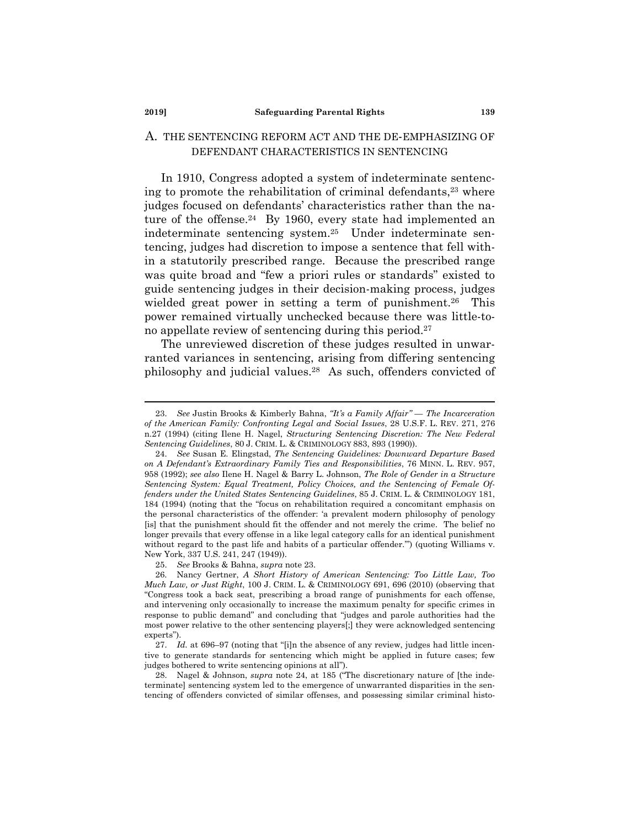#### **2019] Safeguarding Parental Rights 139**

#### A. THE SENTENCING REFORM ACT AND THE DE-EMPHASIZING OF DEFENDANT CHARACTERISTICS IN SENTENCING

In 1910, Congress adopted a system of indeterminate sentencing to promote the rehabilitation of criminal defendants,<sup>23</sup> where judges focused on defendants' characteristics rather than the nature of the offense.<sup>24</sup> By 1960, every state had implemented an indeterminate sentencing system.25 Under indeterminate sentencing, judges had discretion to impose a sentence that fell within a statutorily prescribed range. Because the prescribed range was quite broad and "few a priori rules or standards" existed to guide sentencing judges in their decision-making process, judges wielded great power in setting a term of punishment.<sup>26</sup> This power remained virtually unchecked because there was little-tono appellate review of sentencing during this period.27

The unreviewed discretion of these judges resulted in unwarranted variances in sentencing, arising from differing sentencing philosophy and judicial values.28 As such, offenders convicted of

25. *See* Brooks & Bahna, *supra* note 23.

 <sup>23.</sup> *See* Justin Brooks & Kimberly Bahna, *"It's a Family Affair" — The Incarceration of the American Family: Confronting Legal and Social Issues*, 28 U.S.F. L. REV. 271, 276 n.27 (1994) (citing Ilene H. Nagel, *Structuring Sentencing Discretion: The New Federal Sentencing Guidelines*, 80 J. CRIM. L. & CRIMINOLOGY 883, 893 (1990)).

 <sup>24.</sup> *See* Susan E. Elingstad, *The Sentencing Guidelines: Downward Departure Based on A Defendant's Extraordinary Family Ties and Responsibilities*, 76 MINN. L. REV. 957, 958 (1992); *see also* Ilene H. Nagel & Barry L. Johnson, *The Role of Gender in a Structure Sentencing System: Equal Treatment, Policy Choices, and the Sentencing of Female Offenders under the United States Sentencing Guidelines*, 85 J. CRIM. L. & CRIMINOLOGY 181, 184 (1994) (noting that the "focus on rehabilitation required a concomitant emphasis on the personal characteristics of the offender: 'a prevalent modern philosophy of penology [is] that the punishment should fit the offender and not merely the crime. The belief no longer prevails that every offense in a like legal category calls for an identical punishment without regard to the past life and habits of a particular offender.'") (quoting Williams v. New York, 337 U.S. 241, 247 (1949)).

 <sup>26.</sup> Nancy Gertner, *A Short History of American Sentencing: Too Little Law, Too Much Law, or Just Right*, 100 J. CRIM. L. & CRIMINOLOGY 691, 696 (2010) (observing that "Congress took a back seat, prescribing a broad range of punishments for each offense, and intervening only occasionally to increase the maximum penalty for specific crimes in response to public demand" and concluding that "judges and parole authorities had the most power relative to the other sentencing players[;] they were acknowledged sentencing experts").

 <sup>27.</sup> *Id.* at 696–97 (noting that "[i]n the absence of any review, judges had little incentive to generate standards for sentencing which might be applied in future cases; few judges bothered to write sentencing opinions at all").

 <sup>28.</sup> Nagel & Johnson, *supra* note 24, at 185 ("The discretionary nature of [the indeterminate] sentencing system led to the emergence of unwarranted disparities in the sentencing of offenders convicted of similar offenses, and possessing similar criminal histo-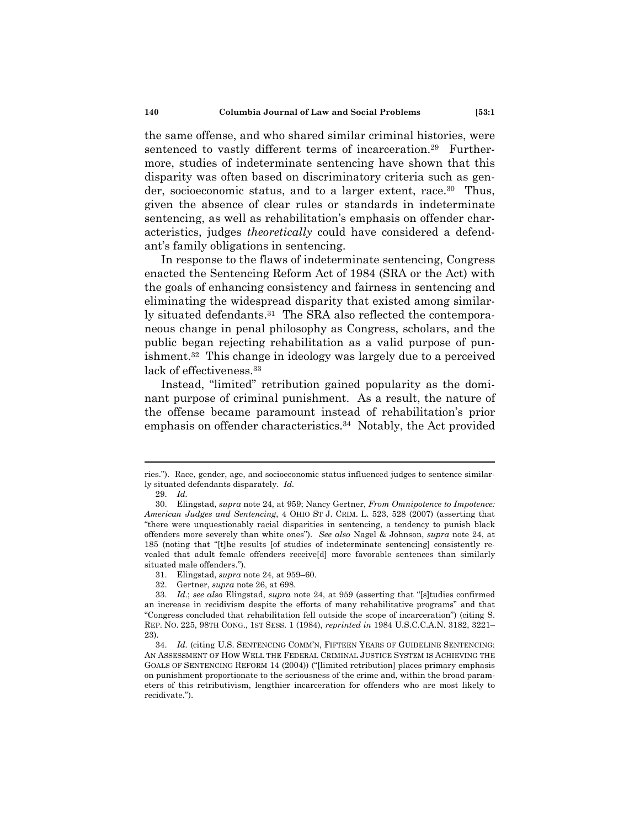the same offense, and who shared similar criminal histories, were sentenced to vastly different terms of incarceration.<sup>29</sup> Furthermore, studies of indeterminate sentencing have shown that this disparity was often based on discriminatory criteria such as gender, socioeconomic status, and to a larger extent, race.<sup>30</sup> Thus, given the absence of clear rules or standards in indeterminate sentencing, as well as rehabilitation's emphasis on offender characteristics, judges *theoretically* could have considered a defendant's family obligations in sentencing.

In response to the flaws of indeterminate sentencing, Congress enacted the Sentencing Reform Act of 1984 (SRA or the Act) with the goals of enhancing consistency and fairness in sentencing and eliminating the widespread disparity that existed among similarly situated defendants.<sup>31</sup> The SRA also reflected the contemporaneous change in penal philosophy as Congress, scholars, and the public began rejecting rehabilitation as a valid purpose of punishment.32 This change in ideology was largely due to a perceived lack of effectiveness.<sup>33</sup>

Instead, "limited" retribution gained popularity as the dominant purpose of criminal punishment. As a result, the nature of the offense became paramount instead of rehabilitation's prior emphasis on offender characteristics.<sup>34</sup> Notably, the Act provided

ries."). Race, gender, age, and socioeconomic status influenced judges to sentence similarly situated defendants disparately. *Id.*

 <sup>29.</sup> *Id.*

 <sup>30.</sup> Elingstad, *supra* note 24, at 959; Nancy Gertner, *From Omnipotence to Impotence: American Judges and Sentencing*, 4 OHIO ST J. CRIM. L. 523, 528 (2007) (asserting that "there were unquestionably racial disparities in sentencing, a tendency to punish black offenders more severely than white ones"). *See also* Nagel & Johnson, *supra* note 24, at 185 (noting that "[t]he results [of studies of indeterminate sentencing] consistently revealed that adult female offenders receive[d] more favorable sentences than similarly situated male offenders.").

 <sup>31.</sup> Elingstad, *supra* note 24, at 959–60.

 <sup>32.</sup> Gertner, *supra* note 26, at 698.

 <sup>33.</sup> *Id.*; *see also* Elingstad, *supra* note 24, at 959 (asserting that "[s]tudies confirmed an increase in recidivism despite the efforts of many rehabilitative programs" and that "Congress concluded that rehabilitation fell outside the scope of incarceration") (citing S. REP. NO. 225, 98TH CONG., 1ST SESS. 1 (1984), *reprinted in* 1984 U.S.C.C.A.N. 3182, 3221– 23).

 <sup>34.</sup> *Id.* (citing U.S. SENTENCING COMM'N, FIFTEEN YEARS OF GUIDELINE SENTENCING: AN ASSESSMENT OF HOW WELL THE FEDERAL CRIMINAL JUSTICE SYSTEM IS ACHIEVING THE GOALS OF SENTENCING REFORM 14 (2004)) ("[limited retribution] places primary emphasis on punishment proportionate to the seriousness of the crime and, within the broad parameters of this retributivism, lengthier incarceration for offenders who are most likely to recidivate.").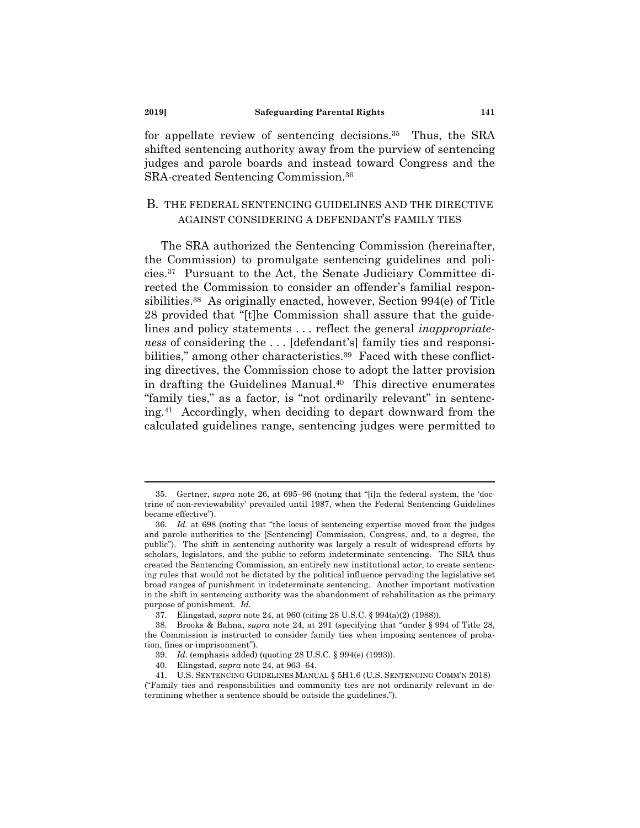for appellate review of sentencing decisions.<sup>35</sup> Thus, the SRA shifted sentencing authority away from the purview of sentencing judges and parole boards and instead toward Congress and the SRA-created Sentencing Commission.36

#### B. THE FEDERAL SENTENCING GUIDELINES AND THE DIRECTIVE AGAINST CONSIDERING A DEFENDANT'S FAMILY TIES

The SRA authorized the Sentencing Commission (hereinafter, the Commission) to promulgate sentencing guidelines and policies.37 Pursuant to the Act, the Senate Judiciary Committee directed the Commission to consider an offender's familial responsibilities.38 As originally enacted, however, Section 994(e) of Title 28 provided that "[t]he Commission shall assure that the guidelines and policy statements . . . reflect the general *inappropriateness* of considering the . . . [defendant's] family ties and responsibilities," among other characteristics.<sup>39</sup> Faced with these conflicting directives, the Commission chose to adopt the latter provision in drafting the Guidelines Manual.<sup>40</sup> This directive enumerates "family ties," as a factor, is "not ordinarily relevant" in sentencing.41 Accordingly, when deciding to depart downward from the calculated guidelines range, sentencing judges were permitted to

 <sup>35.</sup> Gertner, *supra* note 26, at 695–96 (noting that "[i]n the federal system, the 'doctrine of non-reviewability' prevailed until 1987, when the Federal Sentencing Guidelines became effective").

 <sup>36.</sup> *Id.* at 698 (noting that "the locus of sentencing expertise moved from the judges and parole authorities to the [Sentencing] Commission, Congress, and, to a degree, the public"). The shift in sentencing authority was largely a result of widespread efforts by scholars, legislators, and the public to reform indeterminate sentencing. The SRA thus created the Sentencing Commission, an entirely new institutional actor, to create sentencing rules that would not be dictated by the political influence pervading the legislative set broad ranges of punishment in indeterminate sentencing. Another important motivation in the shift in sentencing authority was the abandonment of rehabilitation as the primary purpose of punishment. *Id.*

 <sup>37.</sup> Elingstad, *supra* note 24, at 960 (citing 28 U.S.C. § 994(a)(2) (1988)).

 <sup>38.</sup> Brooks & Bahna, *supra* note 24, at 291 (specifying that "under § 994 of Title 28, the Commission is instructed to consider family ties when imposing sentences of probation, fines or imprisonment").

 <sup>39.</sup> *Id.* (emphasis added) (quoting 28 U.S.C. § 994(e) (1993)).

 <sup>40.</sup> Elingstad, *supra* note 24, at 963–64.

 <sup>41.</sup> U.S. SENTENCING GUIDELINES MANUAL § 5H1.6 (U.S. SENTENCING COMM'N 2018) ("Family ties and responsibilities and community ties are not ordinarily relevant in determining whether a sentence should be outside the guidelines.").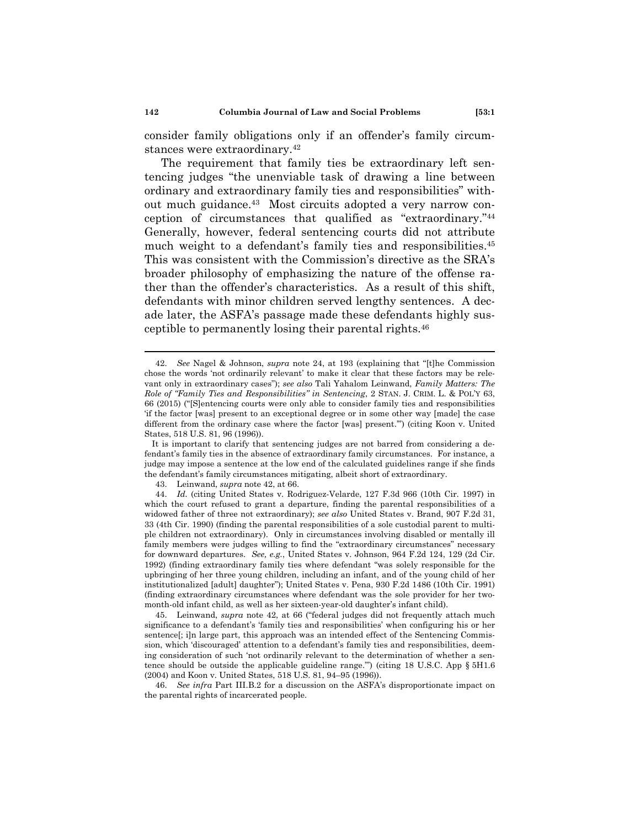consider family obligations only if an offender's family circumstances were extraordinary.42

The requirement that family ties be extraordinary left sentencing judges "the unenviable task of drawing a line between ordinary and extraordinary family ties and responsibilities" without much guidance.43 Most circuits adopted a very narrow conception of circumstances that qualified as "extraordinary."44 Generally, however, federal sentencing courts did not attribute much weight to a defendant's family ties and responsibilities.<sup>45</sup> This was consistent with the Commission's directive as the SRA's broader philosophy of emphasizing the nature of the offense rather than the offender's characteristics. As a result of this shift, defendants with minor children served lengthy sentences. A decade later, the ASFA's passage made these defendants highly susceptible to permanently losing their parental rights.46

 46. *See infra* Part III.B.2 for a discussion on the ASFA's disproportionate impact on the parental rights of incarcerated people.

 <sup>42.</sup> *See* Nagel & Johnson, *supra* note 24, at 193 (explaining that "[t]he Commission chose the words 'not ordinarily relevant' to make it clear that these factors may be relevant only in extraordinary cases"); *see also* Tali Yahalom Leinwand, *Family Matters: The Role of "Family Ties and Responsibilities" in Sentencing*, 2 STAN. J. CRIM. L. & POL'Y 63, 66 (2015) ("[S]entencing courts were only able to consider family ties and responsibilities 'if the factor [was] present to an exceptional degree or in some other way [made] the case different from the ordinary case where the factor [was] present.'") (citing Koon v. United States, 518 U.S. 81, 96 (1996)).

It is important to clarify that sentencing judges are not barred from considering a defendant's family ties in the absence of extraordinary family circumstances. For instance, a judge may impose a sentence at the low end of the calculated guidelines range if she finds the defendant's family circumstances mitigating, albeit short of extraordinary.

 <sup>43.</sup> Leinwand, *supra* note 42, at 66.

 <sup>44.</sup> *Id.* (citing United States v. Rodriguez-Velarde, 127 F.3d 966 (10th Cir. 1997) in which the court refused to grant a departure, finding the parental responsibilities of a widowed father of three not extraordinary); *see also* United States v. Brand, 907 F.2d 31, 33 (4th Cir. 1990) (finding the parental responsibilities of a sole custodial parent to multiple children not extraordinary). Only in circumstances involving disabled or mentally ill family members were judges willing to find the "extraordinary circumstances" necessary for downward departures. *See, e.g.*, United States v. Johnson, 964 F.2d 124, 129 (2d Cir. 1992) (finding extraordinary family ties where defendant "was solely responsible for the upbringing of her three young children, including an infant, and of the young child of her institutionalized [adult] daughter"); United States v. Pena, 930 F.2d 1486 (10th Cir. 1991) (finding extraordinary circumstances where defendant was the sole provider for her twomonth-old infant child, as well as her sixteen-year-old daughter's infant child).

 <sup>45.</sup> Leinwand, *supra* note 42, at 66 ("federal judges did not frequently attach much significance to a defendant's 'family ties and responsibilities' when configuring his or her sentence. iln large part, this approach was an intended effect of the Sentencing Commission, which 'discouraged' attention to a defendant's family ties and responsibilities, deeming consideration of such 'not ordinarily relevant to the determination of whether a sentence should be outside the applicable guideline range.'") (citing 18 U.S.C. App § 5H1.6 (2004) and Koon v. United States, 518 U.S. 81, 94–95 (1996)).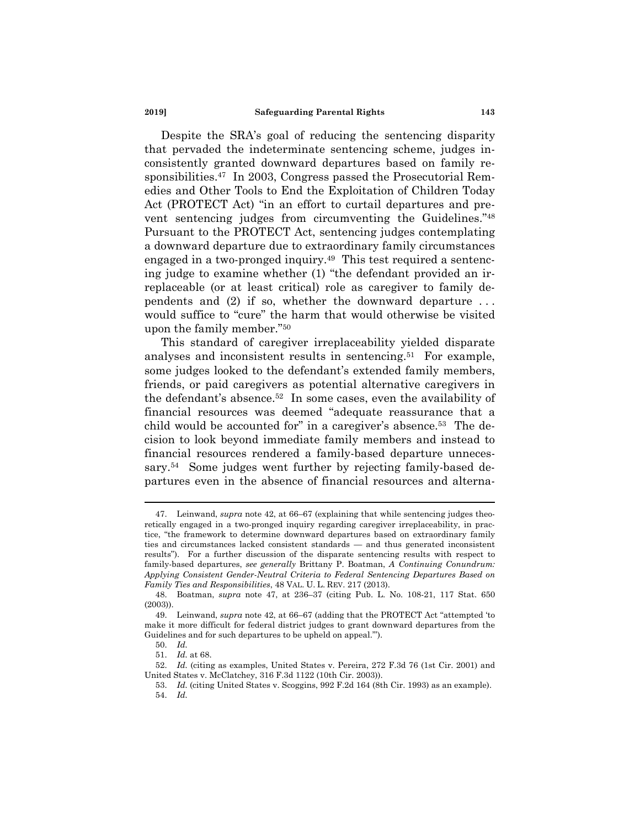#### **2019] Safeguarding Parental Rights 143**

Despite the SRA's goal of reducing the sentencing disparity that pervaded the indeterminate sentencing scheme, judges inconsistently granted downward departures based on family responsibilities.47 In 2003, Congress passed the Prosecutorial Remedies and Other Tools to End the Exploitation of Children Today Act (PROTECT Act) "in an effort to curtail departures and prevent sentencing judges from circumventing the Guidelines."48 Pursuant to the PROTECT Act, sentencing judges contemplating a downward departure due to extraordinary family circumstances engaged in a two-pronged inquiry.49 This test required a sentencing judge to examine whether (1) "the defendant provided an irreplaceable (or at least critical) role as caregiver to family dependents and (2) if so, whether the downward departure . . . would suffice to "cure" the harm that would otherwise be visited upon the family member."50

This standard of caregiver irreplaceability yielded disparate analyses and inconsistent results in sentencing.51 For example, some judges looked to the defendant's extended family members, friends, or paid caregivers as potential alternative caregivers in the defendant's absence.52 In some cases, even the availability of financial resources was deemed "adequate reassurance that a child would be accounted for" in a caregiver's absence.53 The decision to look beyond immediate family members and instead to financial resources rendered a family-based departure unnecessary.<sup>54</sup> Some judges went further by rejecting family-based departures even in the absence of financial resources and alterna-

 <sup>47.</sup> Leinwand, *supra* note 42, at 66–67 (explaining that while sentencing judges theoretically engaged in a two-pronged inquiry regarding caregiver irreplaceability, in practice, "the framework to determine downward departures based on extraordinary family ties and circumstances lacked consistent standards — and thus generated inconsistent results"). For a further discussion of the disparate sentencing results with respect to family-based departures, *see generally* Brittany P. Boatman, *A Continuing Conundrum: Applying Consistent Gender-Neutral Criteria to Federal Sentencing Departures Based on Family Ties and Responsibilities*, 48 VAL. U. L. REV. 217 (2013).

 <sup>48.</sup> Boatman, *supra* note 47, at 236–37 (citing Pub. L. No. 108-21, 117 Stat. 650 (2003)).

 <sup>49.</sup> Leinwand, *supra* note 42, at 66–67 (adding that the PROTECT Act "attempted 'to make it more difficult for federal district judges to grant downward departures from the Guidelines and for such departures to be upheld on appeal.'").

 <sup>50.</sup> *Id.*

 <sup>51.</sup> *Id.* at 68.

 <sup>52.</sup> *Id.* (citing as examples, United States v. Pereira, 272 F.3d 76 (1st Cir. 2001) and United States v. McClatchey, 316 F.3d 1122 (10th Cir. 2003)).

 <sup>53.</sup> *Id.* (citing United States v. Scoggins, 992 F.2d 164 (8th Cir. 1993) as an example). 54. *Id.*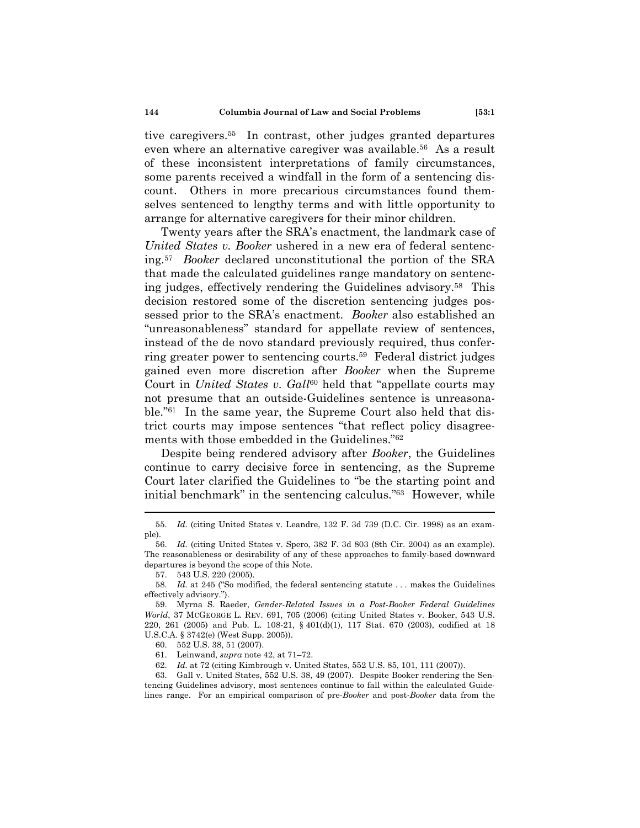tive caregivers.55 In contrast, other judges granted departures even where an alternative caregiver was available.56 As a result of these inconsistent interpretations of family circumstances, some parents received a windfall in the form of a sentencing discount. Others in more precarious circumstances found themselves sentenced to lengthy terms and with little opportunity to arrange for alternative caregivers for their minor children.

Twenty years after the SRA's enactment, the landmark case of *United States v. Booker* ushered in a new era of federal sentencing.57 *Booker* declared unconstitutional the portion of the SRA that made the calculated guidelines range mandatory on sentencing judges, effectively rendering the Guidelines advisory.58 This decision restored some of the discretion sentencing judges possessed prior to the SRA's enactment. *Booker* also established an "unreasonableness" standard for appellate review of sentences, instead of the de novo standard previously required, thus conferring greater power to sentencing courts.59 Federal district judges gained even more discretion after *Booker* when the Supreme Court in *United States v. Gall*<sup>60</sup> held that "appellate courts may not presume that an outside-Guidelines sentence is unreasonable."61 In the same year, the Supreme Court also held that district courts may impose sentences "that reflect policy disagreements with those embedded in the Guidelines."62

Despite being rendered advisory after *Booker*, the Guidelines continue to carry decisive force in sentencing, as the Supreme Court later clarified the Guidelines to "be the starting point and initial benchmark" in the sentencing calculus."63 However, while

 63. Gall v. United States, 552 U.S. 38, 49 (2007). Despite Booker rendering the Sentencing Guidelines advisory, most sentences continue to fall within the calculated Guidelines range. For an empirical comparison of pre-*Booker* and post-*Booker* data from the

 <sup>55.</sup> *Id.* (citing United States v. Leandre, 132 F. 3d 739 (D.C. Cir. 1998) as an example).

 <sup>56.</sup> *Id.* (citing United States v. Spero, 382 F. 3d 803 (8th Cir. 2004) as an example). The reasonableness or desirability of any of these approaches to family-based downward departures is beyond the scope of this Note.

 <sup>57. 543</sup> U.S. 220 (2005).

 <sup>58.</sup> *Id.* at 245 ("So modified, the federal sentencing statute . . . makes the Guidelines effectively advisory.").

 <sup>59.</sup> Myrna S. Raeder, *Gender-Related Issues in a Post-Booker Federal Guidelines World*, 37 MCGEORGE L. REV. 691, 705 (2006) (citing United States v. Booker, 543 U.S. 220, 261 (2005) and Pub. L. 108-21, § 401(d)(1), 117 Stat. 670 (2003), codified at 18 U.S.C.A. § 3742(e) (West Supp. 2005)).

 <sup>60. 552</sup> U.S. 38, 51 (2007).

 <sup>61.</sup> Leinwand, *supra* note 42, at 71–72.

 <sup>62.</sup> *Id.* at 72 (citing Kimbrough v. United States, 552 U.S. 85, 101, 111 (2007)).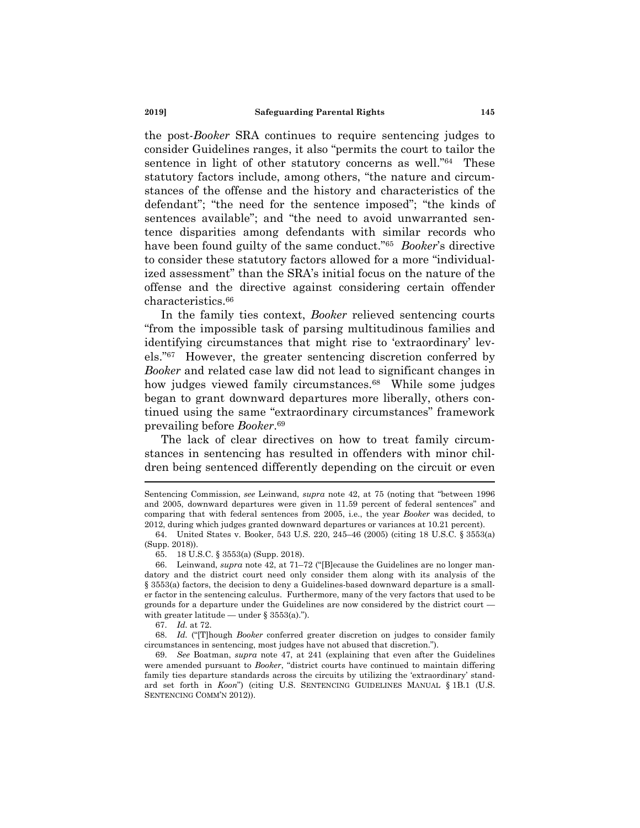the post-*Booker* SRA continues to require sentencing judges to consider Guidelines ranges, it also "permits the court to tailor the sentence in light of other statutory concerns as well."64 These statutory factors include, among others, "the nature and circumstances of the offense and the history and characteristics of the defendant"; "the need for the sentence imposed"; "the kinds of sentences available"; and "the need to avoid unwarranted sentence disparities among defendants with similar records who have been found guilty of the same conduct."65 *Booker*'s directive to consider these statutory factors allowed for a more "individualized assessment" than the SRA's initial focus on the nature of the offense and the directive against considering certain offender characteristics.66

In the family ties context, *Booker* relieved sentencing courts "from the impossible task of parsing multitudinous families and identifying circumstances that might rise to 'extraordinary' levels."67 However, the greater sentencing discretion conferred by *Booker* and related case law did not lead to significant changes in how judges viewed family circumstances.<sup>68</sup> While some judges began to grant downward departures more liberally, others continued using the same "extraordinary circumstances" framework prevailing before *Booker*.69

The lack of clear directives on how to treat family circumstances in sentencing has resulted in offenders with minor children being sentenced differently depending on the circuit or even

Sentencing Commission, *see* Leinwand, *supra* note 42, at 75 (noting that "between 1996 and 2005, downward departures were given in 11.59 percent of federal sentences" and comparing that with federal sentences from 2005, i.e., the year *Booker* was decided, to 2012, during which judges granted downward departures or variances at 10.21 percent).

 <sup>64.</sup> United States v. Booker, 543 U.S. 220, 245–46 (2005) (citing 18 U.S.C. § 3553(a) (Supp. 2018)).

 <sup>65. 18</sup> U.S.C. § 3553(a) (Supp. 2018).

 <sup>66.</sup> Leinwand, *supra* note 42, at 71–72 ("[B]ecause the Guidelines are no longer mandatory and the district court need only consider them along with its analysis of the § 3553(a) factors, the decision to deny a Guidelines-based downward departure is a smaller factor in the sentencing calculus. Furthermore, many of the very factors that used to be grounds for a departure under the Guidelines are now considered by the district court with greater latitude — under  $\S$  3553(a).").

 <sup>67.</sup> *Id.* at 72.

 <sup>68.</sup> *Id.* ("[T]hough *Booker* conferred greater discretion on judges to consider family circumstances in sentencing, most judges have not abused that discretion.").

 <sup>69.</sup> *See* Boatman, *supra* note 47, at 241 (explaining that even after the Guidelines were amended pursuant to *Booker*, "district courts have continued to maintain differing family ties departure standards across the circuits by utilizing the 'extraordinary' standard set forth in *Koon*") (citing U.S. SENTENCING GUIDELINES MANUAL § 1B.1 (U.S. SENTENCING COMM'N 2012)).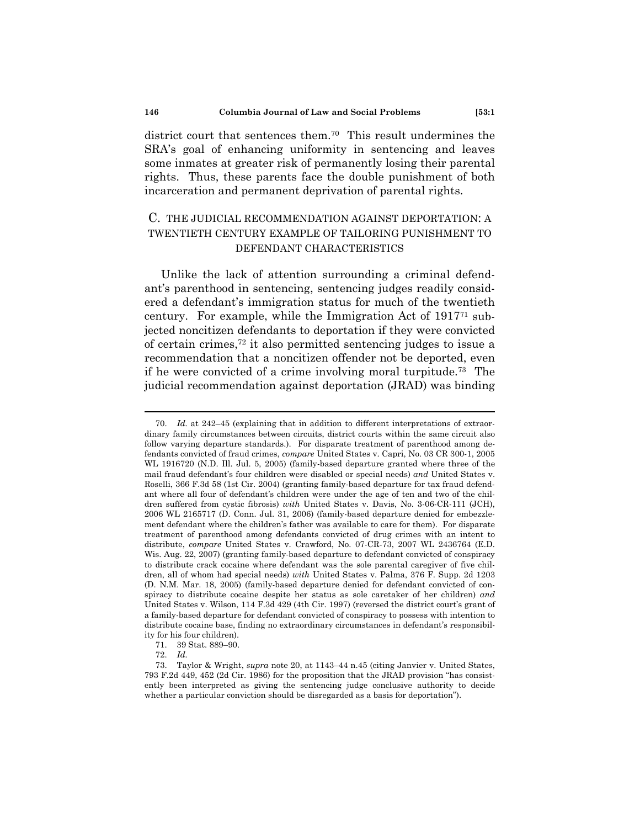district court that sentences them.70 This result undermines the SRA's goal of enhancing uniformity in sentencing and leaves some inmates at greater risk of permanently losing their parental rights. Thus, these parents face the double punishment of both incarceration and permanent deprivation of parental rights.

# C. THE JUDICIAL RECOMMENDATION AGAINST DEPORTATION: A TWENTIETH CENTURY EXAMPLE OF TAILORING PUNISHMENT TO DEFENDANT CHARACTERISTICS

Unlike the lack of attention surrounding a criminal defendant's parenthood in sentencing, sentencing judges readily considered a defendant's immigration status for much of the twentieth century. For example, while the Immigration Act of 191771 subjected noncitizen defendants to deportation if they were convicted of certain crimes,72 it also permitted sentencing judges to issue a recommendation that a noncitizen offender not be deported, even if he were convicted of a crime involving moral turpitude.73 The judicial recommendation against deportation (JRAD) was binding

 <sup>70.</sup> *Id.* at 242–45 (explaining that in addition to different interpretations of extraordinary family circumstances between circuits, district courts within the same circuit also follow varying departure standards.). For disparate treatment of parenthood among defendants convicted of fraud crimes, *compare* United States v. Capri, No. 03 CR 300-1, 2005 WL 1916720 (N.D. Ill. Jul. 5, 2005) (family-based departure granted where three of the mail fraud defendant's four children were disabled or special needs) *and* United States v. Roselli, 366 F.3d 58 (1st Cir. 2004) (granting family-based departure for tax fraud defendant where all four of defendant's children were under the age of ten and two of the children suffered from cystic fibrosis) *with* United States v. Davis, No. 3-06-CR-111 (JCH), 2006 WL 2165717 (D. Conn. Jul. 31, 2006) (family-based departure denied for embezzlement defendant where the children's father was available to care for them). For disparate treatment of parenthood among defendants convicted of drug crimes with an intent to distribute, *compare* United States v. Crawford, No. 07-CR-73, 2007 WL 2436764 (E.D. Wis. Aug. 22, 2007) (granting family-based departure to defendant convicted of conspiracy to distribute crack cocaine where defendant was the sole parental caregiver of five children, all of whom had special needs) *with* United States v. Palma, 376 F. Supp. 2d 1203 (D. N.M. Mar. 18, 2005) (family-based departure denied for defendant convicted of conspiracy to distribute cocaine despite her status as sole caretaker of her children) *and* United States v. Wilson, 114 F.3d 429 (4th Cir. 1997) (reversed the district court's grant of a family-based departure for defendant convicted of conspiracy to possess with intention to distribute cocaine base, finding no extraordinary circumstances in defendant's responsibility for his four children).

 <sup>71. 39</sup> Stat. 889–90.

 <sup>72.</sup> *Id.*

 <sup>73.</sup> Taylor & Wright, *supra* note 20, at 1143–44 n.45 (citing Janvier v. United States, 793 F.2d 449, 452 (2d Cir. 1986) for the proposition that the JRAD provision "has consistently been interpreted as giving the sentencing judge conclusive authority to decide whether a particular conviction should be disregarded as a basis for deportation").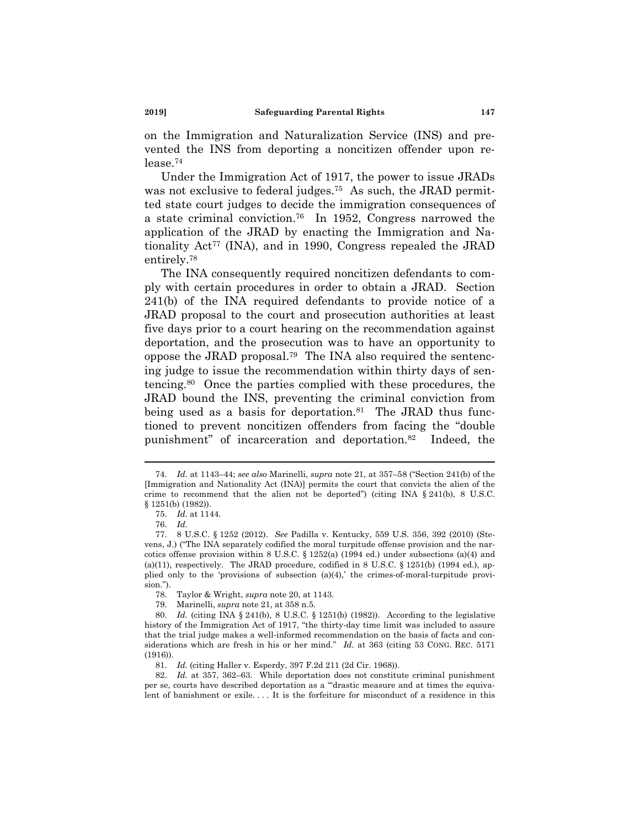on the Immigration and Naturalization Service (INS) and prevented the INS from deporting a noncitizen offender upon release.74

Under the Immigration Act of 1917, the power to issue JRADs was not exclusive to federal judges.<sup>75</sup> As such, the JRAD permitted state court judges to decide the immigration consequences of a state criminal conviction.76 In 1952, Congress narrowed the application of the JRAD by enacting the Immigration and Nationality Act<sup>77</sup> (INA), and in 1990, Congress repealed the JRAD entirely.78

The INA consequently required noncitizen defendants to comply with certain procedures in order to obtain a JRAD. Section 241(b) of the INA required defendants to provide notice of a JRAD proposal to the court and prosecution authorities at least five days prior to a court hearing on the recommendation against deportation, and the prosecution was to have an opportunity to oppose the JRAD proposal.79 The INA also required the sentencing judge to issue the recommendation within thirty days of sentencing.80 Once the parties complied with these procedures, the JRAD bound the INS, preventing the criminal conviction from being used as a basis for deportation.<sup>81</sup> The JRAD thus functioned to prevent noncitizen offenders from facing the "double punishment" of incarceration and deportation.82 Indeed, the

 <sup>74.</sup> *Id.* at 1143–44; *see also* Marinelli, *supra* note 21, at 357–58 ("Section 241(b) of the [Immigration and Nationality Act (INA)] permits the court that convicts the alien of the crime to recommend that the alien not be deported") (citing INA  $\S$  241(b), 8 U.S.C. § 1251(b) (1982)).

 <sup>75.</sup> *Id.* at 1144.

 <sup>76.</sup> *Id.*

 <sup>77. 8</sup> U.S.C. § 1252 (2012). *See* Padilla v. Kentucky, 559 U.S. 356, 392 (2010) (Stevens, J.) ("The INA separately codified the moral turpitude offense provision and the narcotics offense provision within 8 U.S.C. § 1252(a) (1994 ed.) under subsections (a)(4) and (a)(11), respectively. The JRAD procedure, codified in 8 U.S.C.  $\S$  1251(b) (1994 ed.), applied only to the 'provisions of subsection (a)(4),' the crimes-of-moral-turpitude provision.").

 <sup>78.</sup> Taylor & Wright, *supra* note 20, at 1143.

 <sup>79.</sup> Marinelli, *supra* note 21, at 358 n.5.

 <sup>80.</sup> *Id.* (citing INA § 241(b), 8 U.S.C. § 1251(b) (1982)). According to the legislative history of the Immigration Act of 1917, "the thirty-day time limit was included to assure that the trial judge makes a well-informed recommendation on the basis of facts and considerations which are fresh in his or her mind." *Id.* at 363 (citing 53 CONG. REC. 5171 (1916)).

 <sup>81.</sup> *Id.* (citing Haller v. Esperdy, 397 F.2d 211 (2d Cir. 1968)).

 <sup>82.</sup> *Id.* at 357, 362–63. While deportation does not constitute criminal punishment per se, courts have described deportation as a "'drastic measure and at times the equivalent of banishment or exile.... It is the forfeiture for misconduct of a residence in this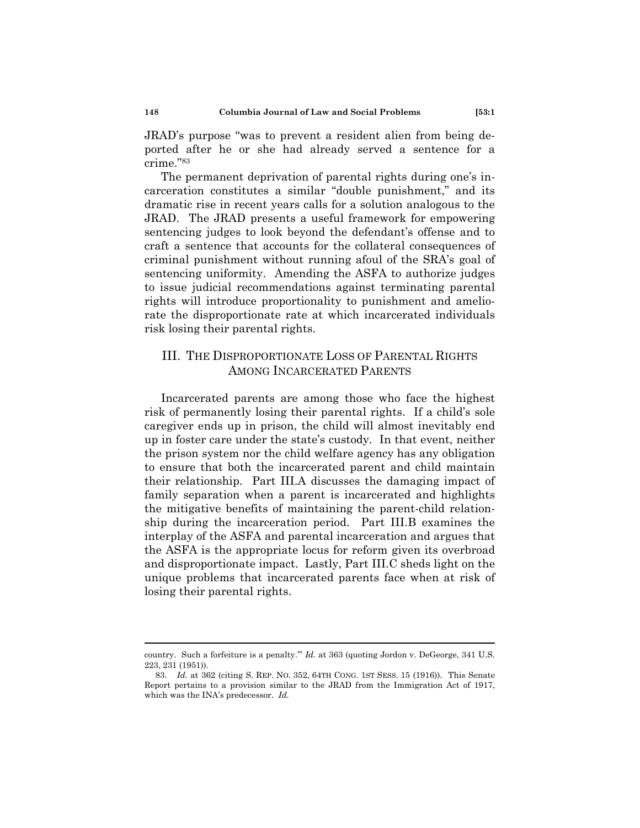JRAD's purpose "was to prevent a resident alien from being deported after he or she had already served a sentence for a crime."83

The permanent deprivation of parental rights during one's incarceration constitutes a similar "double punishment," and its dramatic rise in recent years calls for a solution analogous to the JRAD. The JRAD presents a useful framework for empowering sentencing judges to look beyond the defendant's offense and to craft a sentence that accounts for the collateral consequences of criminal punishment without running afoul of the SRA's goal of sentencing uniformity. Amending the ASFA to authorize judges to issue judicial recommendations against terminating parental rights will introduce proportionality to punishment and ameliorate the disproportionate rate at which incarcerated individuals risk losing their parental rights.

# III. THE DISPROPORTIONATE LOSS OF PARENTAL RIGHTS AMONG INCARCERATED PARENTS

Incarcerated parents are among those who face the highest risk of permanently losing their parental rights. If a child's sole caregiver ends up in prison, the child will almost inevitably end up in foster care under the state's custody. In that event, neither the prison system nor the child welfare agency has any obligation to ensure that both the incarcerated parent and child maintain their relationship. Part III.A discusses the damaging impact of family separation when a parent is incarcerated and highlights the mitigative benefits of maintaining the parent-child relationship during the incarceration period. Part III.B examines the interplay of the ASFA and parental incarceration and argues that the ASFA is the appropriate locus for reform given its overbroad and disproportionate impact. Lastly, Part III.C sheds light on the unique problems that incarcerated parents face when at risk of losing their parental rights.

country. Such a forfeiture is a penalty.'" *Id.* at 363 (quoting Jordon v. DeGeorge, 341 U.S. 223, 231 (1951)).

 <sup>83.</sup> *Id.* at 362 (citing S. REP. NO. 352, 64TH CONG. 1ST SESS. 15 (1916)). This Senate Report pertains to a provision similar to the JRAD from the Immigration Act of 1917, which was the INA's predecessor. *Id.*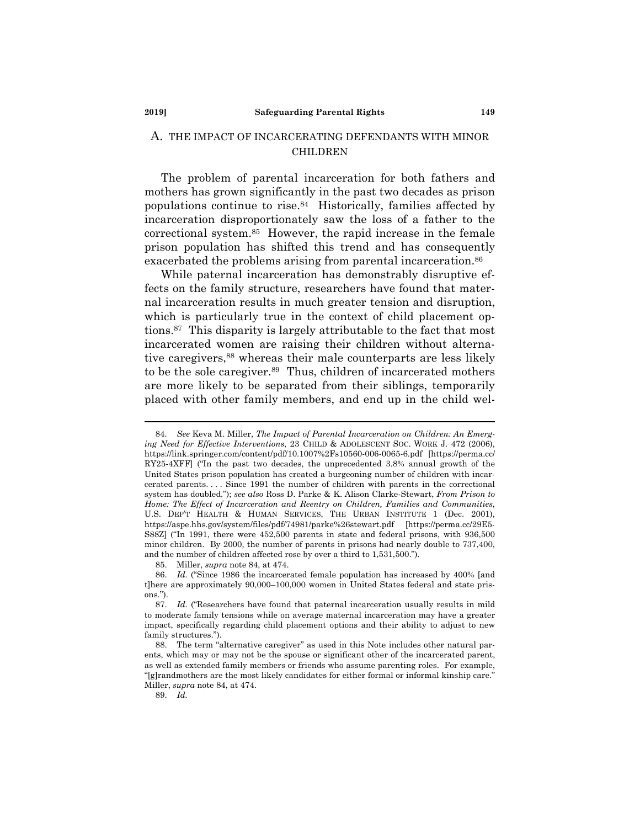#### **2019] Safeguarding Parental Rights 149**

### A. THE IMPACT OF INCARCERATING DEFENDANTS WITH MINOR CHILDREN

The problem of parental incarceration for both fathers and mothers has grown significantly in the past two decades as prison populations continue to rise.84 Historically, families affected by incarceration disproportionately saw the loss of a father to the correctional system.85 However, the rapid increase in the female prison population has shifted this trend and has consequently exacerbated the problems arising from parental incarceration.<sup>86</sup>

While paternal incarceration has demonstrably disruptive effects on the family structure, researchers have found that maternal incarceration results in much greater tension and disruption, which is particularly true in the context of child placement options.87 This disparity is largely attributable to the fact that most incarcerated women are raising their children without alternative caregivers,<sup>88</sup> whereas their male counterparts are less likely to be the sole caregiver.89 Thus, children of incarcerated mothers are more likely to be separated from their siblings, temporarily placed with other family members, and end up in the child wel-

89. *Id.*

 <sup>84.</sup> *See* Keva M. Miller, *The Impact of Parental Incarceration on Children: An Emerging Need for Effective Interventions*, 23 CHILD & ADOLESCENT SOC. WORK J. 472 (2006), https://link.springer.com/content/pdf/10.1007%2Fs10560-006-0065-6.pdf [https://perma.cc/ RY25-4XFF] ("In the past two decades, the unprecedented 3.8% annual growth of the United States prison population has created a burgeoning number of children with incarcerated parents. . . . Since 1991 the number of children with parents in the correctional system has doubled."); *see also* Ross D. Parke & K. Alison Clarke-Stewart, *From Prison to Home: The Effect of Incarceration and Reentry on Children, Families and Communities*, U.S. DEP'T HEALTH & HUMAN SERVICES, THE URBAN INSTITUTE 1 (Dec. 2001), https://aspe.hhs.gov/system/files/pdf/74981/parke%26stewart.pdf [https://perma.cc/29E5- S88Z] ("In 1991, there were 452,500 parents in state and federal prisons, with 936,500 minor children. By 2000, the number of parents in prisons had nearly double to 737,400, and the number of children affected rose by over a third to 1,531,500.").

 <sup>85.</sup> Miller, *supra* note 84, at 474.

 <sup>86.</sup> *Id.* ("Since 1986 the incarcerated female population has increased by 400% [and t]here are approximately 90,000–100,000 women in United States federal and state prisons.").

 <sup>87.</sup> *Id.* ("Researchers have found that paternal incarceration usually results in mild to moderate family tensions while on average maternal incarceration may have a greater impact, specifically regarding child placement options and their ability to adjust to new family structures.").

 <sup>88.</sup> The term "alternative caregiver" as used in this Note includes other natural parents, which may or may not be the spouse or significant other of the incarcerated parent, as well as extended family members or friends who assume parenting roles. For example, "[g]randmothers are the most likely candidates for either formal or informal kinship care." Miller, *supra* note 84, at 474.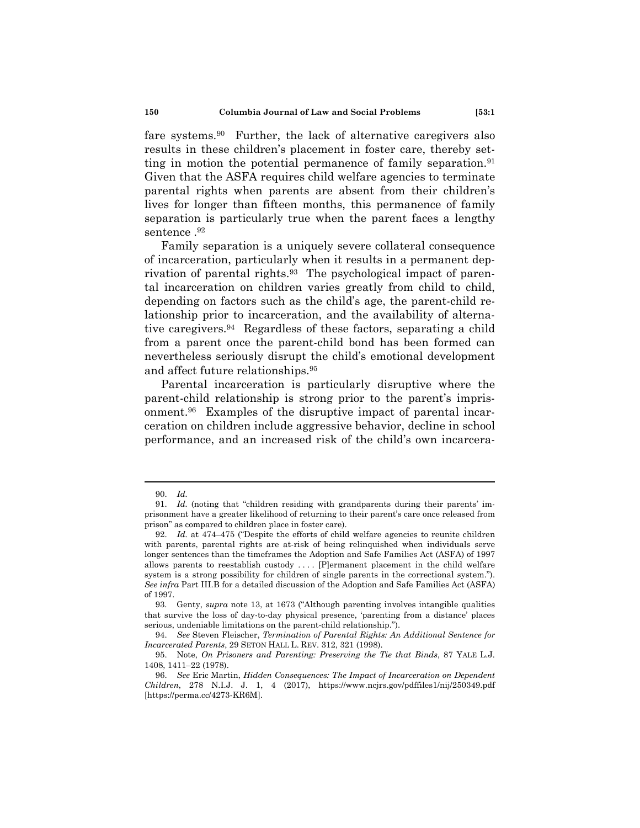fare systems.90 Further, the lack of alternative caregivers also results in these children's placement in foster care, thereby setting in motion the potential permanence of family separation.<sup>91</sup> Given that the ASFA requires child welfare agencies to terminate parental rights when parents are absent from their children's lives for longer than fifteen months, this permanence of family separation is particularly true when the parent faces a lengthy sentence .92

Family separation is a uniquely severe collateral consequence of incarceration, particularly when it results in a permanent deprivation of parental rights.<sup>93</sup> The psychological impact of parental incarceration on children varies greatly from child to child, depending on factors such as the child's age, the parent-child relationship prior to incarceration, and the availability of alternative caregivers.94 Regardless of these factors, separating a child from a parent once the parent-child bond has been formed can nevertheless seriously disrupt the child's emotional development and affect future relationships.95

Parental incarceration is particularly disruptive where the parent-child relationship is strong prior to the parent's imprisonment.96 Examples of the disruptive impact of parental incarceration on children include aggressive behavior, decline in school performance, and an increased risk of the child's own incarcera-

 <sup>90.</sup> *Id.*

 <sup>91.</sup> *Id.* (noting that "children residing with grandparents during their parents' imprisonment have a greater likelihood of returning to their parent's care once released from prison" as compared to children place in foster care).

 <sup>92.</sup> *Id.* at 474–475 ("Despite the efforts of child welfare agencies to reunite children with parents, parental rights are at-risk of being relinquished when individuals serve longer sentences than the timeframes the Adoption and Safe Families Act (ASFA) of 1997 allows parents to reestablish custody . . . . [P]ermanent placement in the child welfare system is a strong possibility for children of single parents in the correctional system."). *See infra* Part III.B for a detailed discussion of the Adoption and Safe Families Act (ASFA) of 1997.

 <sup>93.</sup> Genty, *supra* note 13, at 1673 ("Although parenting involves intangible qualities that survive the loss of day-to-day physical presence, 'parenting from a distance' places serious, undeniable limitations on the parent-child relationship.").

 <sup>94.</sup> *See* Steven Fleischer, *Termination of Parental Rights: An Additional Sentence for Incarcerated Parents*, 29 SETON HALL L. REV. 312, 321 (1998).

 <sup>95.</sup> Note, *On Prisoners and Parenting: Preserving the Tie that Binds*, 87 YALE L.J. 1408, 1411–22 (1978).

 <sup>96.</sup> *See* Eric Martin, *Hidden Consequences: The Impact of Incarceration on Dependent Children*, 278 N.I.J. J. 1, 4 (2017), https://www.ncjrs.gov/pdffiles1/nij/250349.pdf [https://perma.cc/4273-KR6M].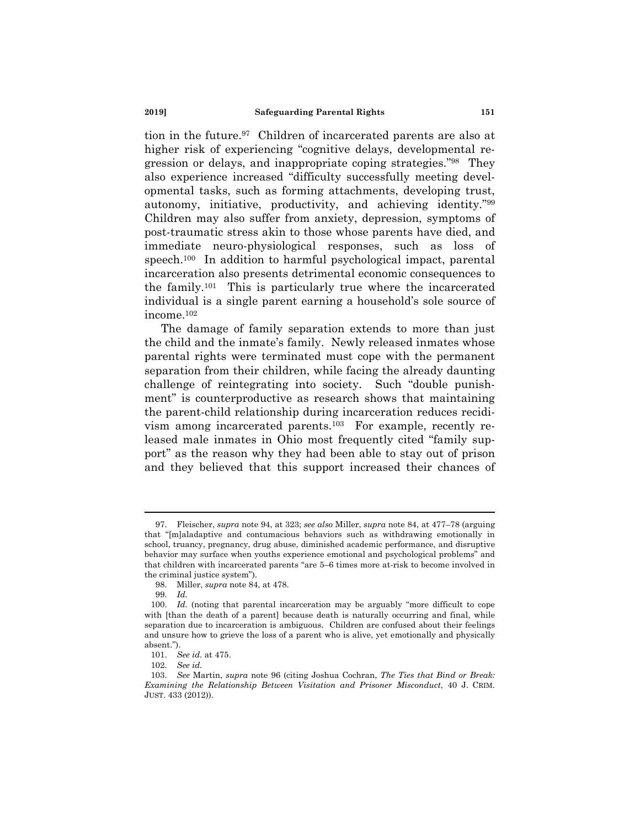tion in the future.97 Children of incarcerated parents are also at higher risk of experiencing "cognitive delays, developmental regression or delays, and inappropriate coping strategies."98 They also experience increased "difficulty successfully meeting developmental tasks, such as forming attachments, developing trust, autonomy, initiative, productivity, and achieving identity."99 Children may also suffer from anxiety, depression, symptoms of post-traumatic stress akin to those whose parents have died, and immediate neuro-physiological responses, such as loss of speech.100 In addition to harmful psychological impact, parental incarceration also presents detrimental economic consequences to the family.101 This is particularly true where the incarcerated individual is a single parent earning a household's sole source of income.102

The damage of family separation extends to more than just the child and the inmate's family. Newly released inmates whose parental rights were terminated must cope with the permanent separation from their children, while facing the already daunting challenge of reintegrating into society. Such "double punishment" is counterproductive as research shows that maintaining the parent-child relationship during incarceration reduces recidivism among incarcerated parents.103 For example, recently released male inmates in Ohio most frequently cited "family support" as the reason why they had been able to stay out of prison and they believed that this support increased their chances of

 <sup>97.</sup> Fleischer, *supra* note 94, at 323; *see also* Miller, *supra* note 84, at 477–78 (arguing that "[m]aladaptive and contumacious behaviors such as withdrawing emotionally in school, truancy, pregnancy, drug abuse, diminished academic performance, and disruptive behavior may surface when youths experience emotional and psychological problems" and that children with incarcerated parents "are 5–6 times more at-risk to become involved in the criminal justice system").

 <sup>98.</sup> Miller, *supra* note 84, at 478.

 <sup>99.</sup> *Id.*

 <sup>100.</sup> *Id.* (noting that parental incarceration may be arguably "more difficult to cope with [than the death of a parent] because death is naturally occurring and final, while separation due to incarceration is ambiguous. Children are confused about their feelings and unsure how to grieve the loss of a parent who is alive, yet emotionally and physically absent.").

 <sup>101.</sup> *See id.* at 475.

 <sup>102.</sup> *See id.*

 <sup>103.</sup> *See* Martin, *supra* note 96 (citing Joshua Cochran, *The Ties that Bind or Break: Examining the Relationship Between Visitation and Prisoner Misconduct*, 40 J. CRIM. JUST. 433 (2012)).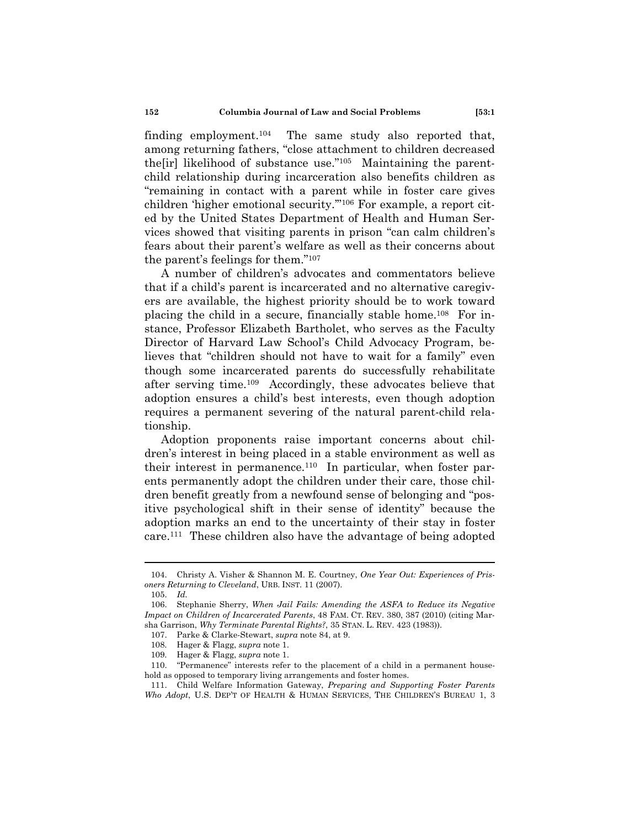finding employment.104 The same study also reported that, among returning fathers, "close attachment to children decreased the firl likelihood of substance use."<sup>105</sup> Maintaining the parentchild relationship during incarceration also benefits children as "remaining in contact with a parent while in foster care gives children 'higher emotional security.'"106 For example, a report cited by the United States Department of Health and Human Services showed that visiting parents in prison "can calm children's fears about their parent's welfare as well as their concerns about the parent's feelings for them."107

A number of children's advocates and commentators believe that if a child's parent is incarcerated and no alternative caregivers are available, the highest priority should be to work toward placing the child in a secure, financially stable home.108 For instance, Professor Elizabeth Bartholet, who serves as the Faculty Director of Harvard Law School's Child Advocacy Program, believes that "children should not have to wait for a family" even though some incarcerated parents do successfully rehabilitate after serving time.109 Accordingly, these advocates believe that adoption ensures a child's best interests, even though adoption requires a permanent severing of the natural parent-child relationship.

Adoption proponents raise important concerns about children's interest in being placed in a stable environment as well as their interest in permanence.110 In particular, when foster parents permanently adopt the children under their care, those children benefit greatly from a newfound sense of belonging and "positive psychological shift in their sense of identity" because the adoption marks an end to the uncertainty of their stay in foster care.111 These children also have the advantage of being adopted

 <sup>104.</sup> Christy A. Visher & Shannon M. E. Courtney, *One Year Out: Experiences of Prisoners Returning to Cleveland*, URB. INST. 11 (2007).

 <sup>105.</sup> *Id.*

 <sup>106.</sup> Stephanie Sherry, *When Jail Fails: Amending the ASFA to Reduce its Negative Impact on Children of Incarcerated Parents*, 48 FAM. CT. REV. 380, 387 (2010) (citing Marsha Garrison, *Why Terminate Parental Rights?*, 35 STAN. L. REV. 423 (1983)).

 <sup>107.</sup> Parke & Clarke-Stewart, *supra* note 84, at 9.

 <sup>108.</sup> Hager & Flagg, *supra* note 1.

 <sup>109.</sup> Hager & Flagg, *supra* note 1.

 <sup>110. &</sup>quot;Permanence" interests refer to the placement of a child in a permanent household as opposed to temporary living arrangements and foster homes.

 <sup>111.</sup> Child Welfare Information Gateway, *Preparing and Supporting Foster Parents Who Adopt*, U.S. DEP'T OF HEALTH & HUMAN SERVICES, THE CHILDREN'S BUREAU 1, 3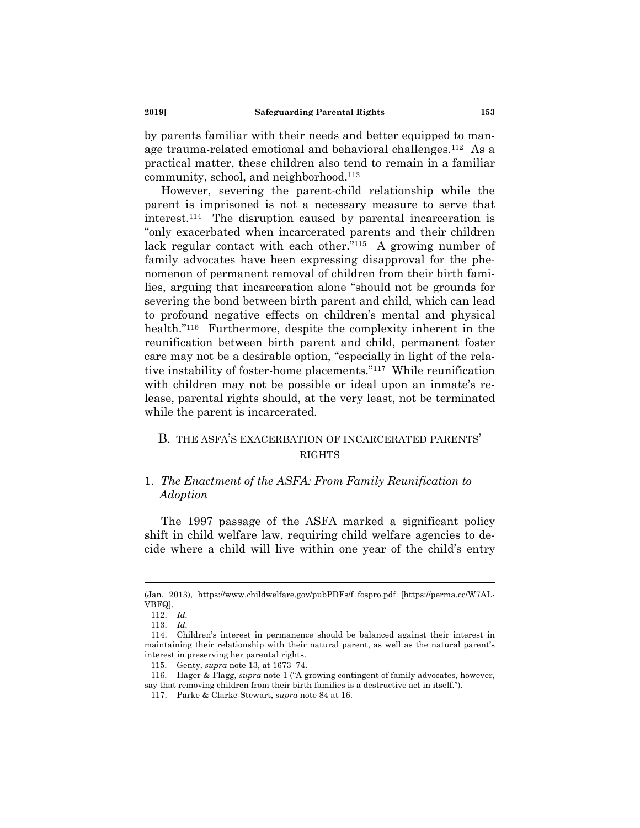by parents familiar with their needs and better equipped to manage trauma-related emotional and behavioral challenges.112 As a practical matter, these children also tend to remain in a familiar community, school, and neighborhood.113

However, severing the parent-child relationship while the parent is imprisoned is not a necessary measure to serve that interest.114 The disruption caused by parental incarceration is "only exacerbated when incarcerated parents and their children lack regular contact with each other."115 A growing number of family advocates have been expressing disapproval for the phenomenon of permanent removal of children from their birth families, arguing that incarceration alone "should not be grounds for severing the bond between birth parent and child, which can lead to profound negative effects on children's mental and physical health."<sup>116</sup> Furthermore, despite the complexity inherent in the reunification between birth parent and child, permanent foster care may not be a desirable option, "especially in light of the relative instability of foster-home placements."117 While reunification with children may not be possible or ideal upon an inmate's release, parental rights should, at the very least, not be terminated while the parent is incarcerated.

### B. THE ASFA'S EXACERBATION OF INCARCERATED PARENTS' **RIGHTS**

### 1. *The Enactment of the ASFA: From Family Reunification to Adoption*

The 1997 passage of the ASFA marked a significant policy shift in child welfare law, requiring child welfare agencies to decide where a child will live within one year of the child's entry

<sup>(</sup>Jan. 2013), https://www.childwelfare.gov/pubPDFs/f\_fospro.pdf [https://perma.cc/W7AL-VBFQ].

 <sup>112.</sup> *Id.*

 <sup>113.</sup> *Id.*

 <sup>114.</sup> Children's interest in permanence should be balanced against their interest in maintaining their relationship with their natural parent, as well as the natural parent's interest in preserving her parental rights.

 <sup>115.</sup> Genty, *supra* note 13, at 1673–74.

 <sup>116.</sup> Hager & Flagg, *supra* note 1 ("A growing contingent of family advocates, however, say that removing children from their birth families is a destructive act in itself.").

 <sup>117.</sup> Parke & Clarke-Stewart, *supra* note 84 at 16.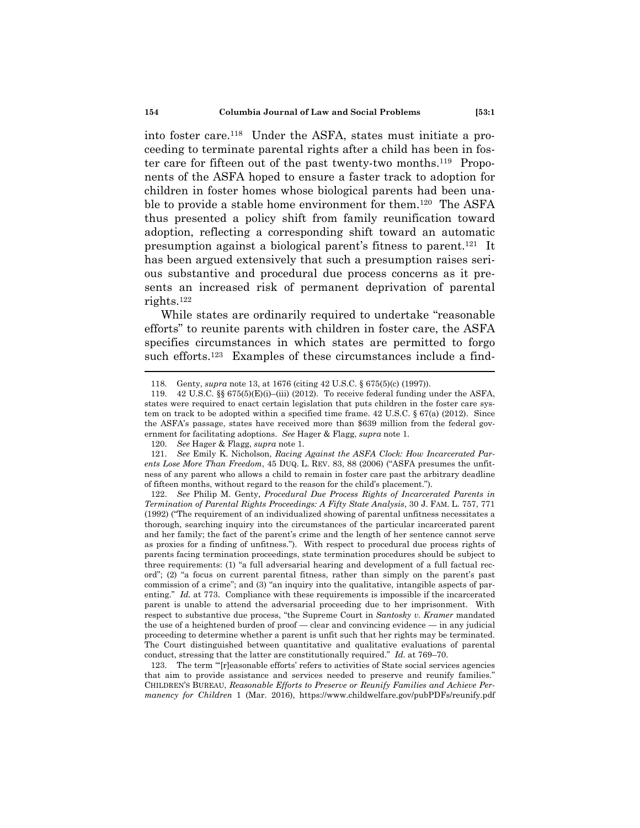into foster care.118 Under the ASFA, states must initiate a proceeding to terminate parental rights after a child has been in foster care for fifteen out of the past twenty-two months.119 Proponents of the ASFA hoped to ensure a faster track to adoption for children in foster homes whose biological parents had been unable to provide a stable home environment for them.<sup>120</sup> The ASFA thus presented a policy shift from family reunification toward adoption, reflecting a corresponding shift toward an automatic presumption against a biological parent's fitness to parent.121 It has been argued extensively that such a presumption raises serious substantive and procedural due process concerns as it presents an increased risk of permanent deprivation of parental rights.122

While states are ordinarily required to undertake "reasonable efforts" to reunite parents with children in foster care, the ASFA specifies circumstances in which states are permitted to forgo such efforts.<sup>123</sup> Examples of these circumstances include a find-

 <sup>118.</sup> Genty, *supra* note 13, at 1676 (citing 42 U.S.C. § 675(5)(c) (1997)).

<sup>119.</sup>  $42 \text{ U.S.C. }$  §§ 675(5)(E)(i)–(iii) (2012). To receive federal funding under the ASFA, states were required to enact certain legislation that puts children in the foster care system on track to be adopted within a specified time frame.  $42 \text{ U.S.C.}$  §  $67(a)$  (2012). Since the ASFA's passage, states have received more than \$639 million from the federal government for facilitating adoptions. *See* Hager & Flagg, *supra* note 1.

 <sup>120.</sup> *See* Hager & Flagg, *supra* note 1.

 <sup>121.</sup> *See* Emily K. Nicholson, *Racing Against the ASFA Clock: How Incarcerated Parents Lose More Than Freedom*, 45 DUQ. L. REV. 83, 88 (2006) ("ASFA presumes the unfitness of any parent who allows a child to remain in foster care past the arbitrary deadline of fifteen months, without regard to the reason for the child's placement.").

 <sup>122.</sup> *See* Philip M. Genty, *Procedural Due Process Rights of Incarcerated Parents in Termination of Parental Rights Proceedings: A Fifty State Analysis*, 30 J. FAM. L. 757, 771 (1992) ("The requirement of an individualized showing of parental unfitness necessitates a thorough, searching inquiry into the circumstances of the particular incarcerated parent and her family; the fact of the parent's crime and the length of her sentence cannot serve as proxies for a finding of unfitness."). With respect to procedural due process rights of parents facing termination proceedings, state termination procedures should be subject to three requirements: (1) "a full adversarial hearing and development of a full factual record"; (2) "a focus on current parental fitness, rather than simply on the parent's past commission of a crime"; and (3) "an inquiry into the qualitative, intangible aspects of parenting." *Id.* at 773. Compliance with these requirements is impossible if the incarcerated parent is unable to attend the adversarial proceeding due to her imprisonment. With respect to substantive due process, "the Supreme Court in *Santosky v. Kramer* mandated the use of a heightened burden of proof — clear and convincing evidence — in any judicial proceeding to determine whether a parent is unfit such that her rights may be terminated. The Court distinguished between quantitative and qualitative evaluations of parental conduct, stressing that the latter are constitutionally required." *Id.* at 769–70.

 <sup>123.</sup> The term "'[r]easonable efforts' refers to activities of State social services agencies that aim to provide assistance and services needed to preserve and reunify families." CHILDREN'S BUREAU, *Reasonable Efforts to Preserve or Reunify Families and Achieve Permanency for Children* 1 (Mar. 2016), https://www.childwelfare.gov/pubPDFs/reunify.pdf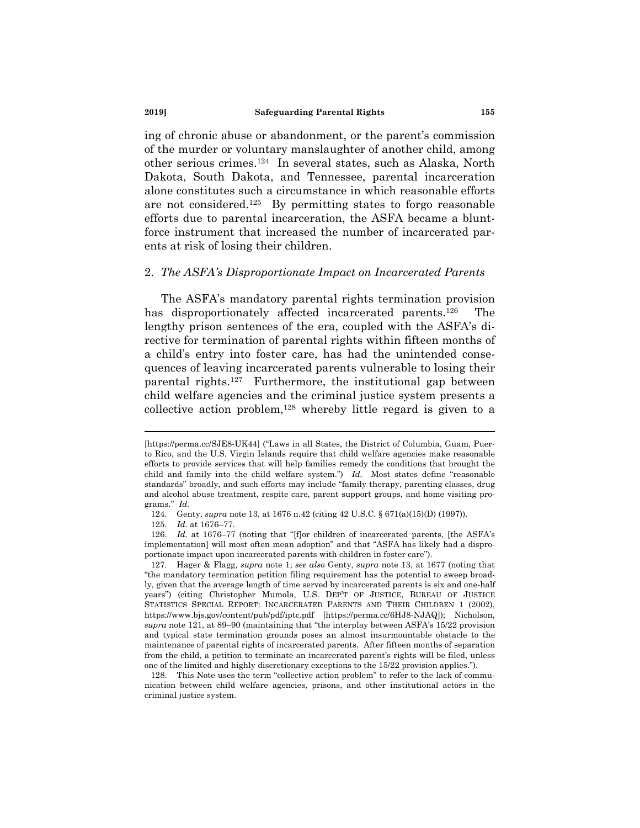ing of chronic abuse or abandonment, or the parent's commission of the murder or voluntary manslaughter of another child, among other serious crimes.124 In several states, such as Alaska, North Dakota, South Dakota, and Tennessee, parental incarceration alone constitutes such a circumstance in which reasonable efforts are not considered.125 By permitting states to forgo reasonable efforts due to parental incarceration, the ASFA became a bluntforce instrument that increased the number of incarcerated parents at risk of losing their children.

#### 2. *The ASFA's Disproportionate Impact on Incarcerated Parents*

The ASFA's mandatory parental rights termination provision has disproportionately affected incarcerated parents.<sup>126</sup> The lengthy prison sentences of the era, coupled with the ASFA's directive for termination of parental rights within fifteen months of a child's entry into foster care, has had the unintended consequences of leaving incarcerated parents vulnerable to losing their parental rights.127 Furthermore, the institutional gap between child welfare agencies and the criminal justice system presents a collective action problem,128 whereby little regard is given to a

<sup>[</sup>https://perma.cc/SJE8-UK44] ("Laws in all States, the District of Columbia, Guam, Puerto Rico, and the U.S. Virgin Islands require that child welfare agencies make reasonable efforts to provide services that will help families remedy the conditions that brought the child and family into the child welfare system.") *Id.* Most states define "reasonable standards" broadly, and such efforts may include "family therapy, parenting classes, drug and alcohol abuse treatment, respite care, parent support groups, and home visiting programs." *Id.*

 <sup>124.</sup> Genty, *supra* note 13, at 1676 n.42 (citing 42 U.S.C. § 671(a)(15)(D) (1997)).

 <sup>125.</sup> *Id.* at 1676–77.

<sup>126.</sup> *Id.* at 1676–77 (noting that "[f]or children of incarcerated parents, [the ASFA's implementation] will most often mean adoption" and that "ASFA has likely had a disproportionate impact upon incarcerated parents with children in foster care").

 <sup>127.</sup> Hager & Flagg, *supra* note 1; *see also* Genty, *supra* note 13, at 1677 (noting that "the mandatory termination petition filing requirement has the potential to sweep broadly, given that the average length of time served by incarcerated parents is six and one-half years") (citing Christopher Mumola, U.S. DEP'T OF JUSTICE, BUREAU OF JUSTICE STATISTICS SPECIAL REPORT: INCARCERATED PARENTS AND THEIR CHILDREN 1 (2002), https://www.bjs.gov/content/pub/pdf/iptc.pdf [https://perma.cc/6HJ8-NJAQ]); Nicholson, *supra* note 121, at 89–90 (maintaining that "the interplay between ASFA's 15/22 provision and typical state termination grounds poses an almost insurmountable obstacle to the maintenance of parental rights of incarcerated parents. After fifteen months of separation from the child, a petition to terminate an incarcerated parent's rights will be filed, unless one of the limited and highly discretionary exceptions to the 15/22 provision applies.").

 <sup>128.</sup> This Note uses the term "collective action problem" to refer to the lack of communication between child welfare agencies, prisons, and other institutional actors in the criminal justice system.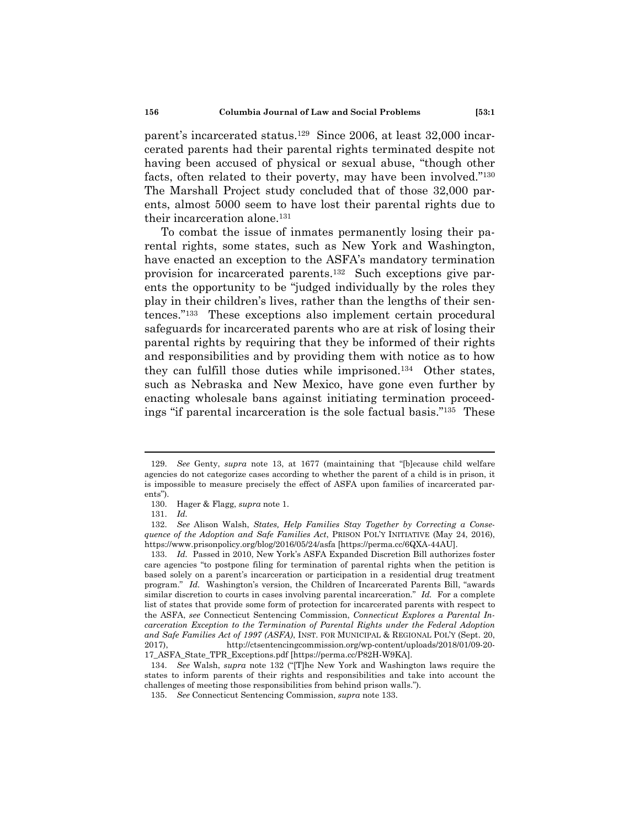parent's incarcerated status.129 Since 2006, at least 32,000 incarcerated parents had their parental rights terminated despite not having been accused of physical or sexual abuse, "though other facts, often related to their poverty, may have been involved."130 The Marshall Project study concluded that of those 32,000 parents, almost 5000 seem to have lost their parental rights due to their incarceration alone.<sup>131</sup>

To combat the issue of inmates permanently losing their parental rights, some states, such as New York and Washington, have enacted an exception to the ASFA's mandatory termination provision for incarcerated parents.132 Such exceptions give parents the opportunity to be "judged individually by the roles they play in their children's lives, rather than the lengths of their sentences."133 These exceptions also implement certain procedural safeguards for incarcerated parents who are at risk of losing their parental rights by requiring that they be informed of their rights and responsibilities and by providing them with notice as to how they can fulfill those duties while imprisoned.134 Other states, such as Nebraska and New Mexico, have gone even further by enacting wholesale bans against initiating termination proceedings "if parental incarceration is the sole factual basis."135 These

 <sup>129.</sup> *See* Genty, *supra* note 13, at 1677 (maintaining that "[b]ecause child welfare agencies do not categorize cases according to whether the parent of a child is in prison, it is impossible to measure precisely the effect of ASFA upon families of incarcerated parents").

 <sup>130.</sup> Hager & Flagg, *supra* note 1.

 <sup>131.</sup> *Id.*

 <sup>132.</sup> *See* Alison Walsh, *States, Help Families Stay Together by Correcting a Consequence of the Adoption and Safe Families Act*, PRISON POL'Y INITIATIVE (May 24, 2016), https://www.prisonpolicy.org/blog/2016/05/24/asfa [https://perma.cc/6QXA-44AU].

 <sup>133.</sup> *Id.* Passed in 2010, New York's ASFA Expanded Discretion Bill authorizes foster care agencies "to postpone filing for termination of parental rights when the petition is based solely on a parent's incarceration or participation in a residential drug treatment program." *Id.* Washington's version, the Children of Incarcerated Parents Bill, "awards similar discretion to courts in cases involving parental incarceration." *Id.* For a complete list of states that provide some form of protection for incarcerated parents with respect to the ASFA, *see* Connecticut Sentencing Commission, *Connecticut Explores a Parental Incarceration Exception to the Termination of Parental Rights under the Federal Adoption and Safe Families Act of 1997 (ASFA)*, INST. FOR MUNICIPAL & REGIONAL POL'Y (Sept. 20, 2017), http://ctsentencingcommission.org/wp-content/uploads/2018/01/09-20- 17\_ASFA\_State\_TPR\_Exceptions.pdf [https://perma.cc/P82H-W9KA].

 <sup>134.</sup> *See* Walsh, *supra* note 132 ("[T]he New York and Washington laws require the states to inform parents of their rights and responsibilities and take into account the challenges of meeting those responsibilities from behind prison walls.").

 <sup>135.</sup> *See* Connecticut Sentencing Commission, *supra* note 133.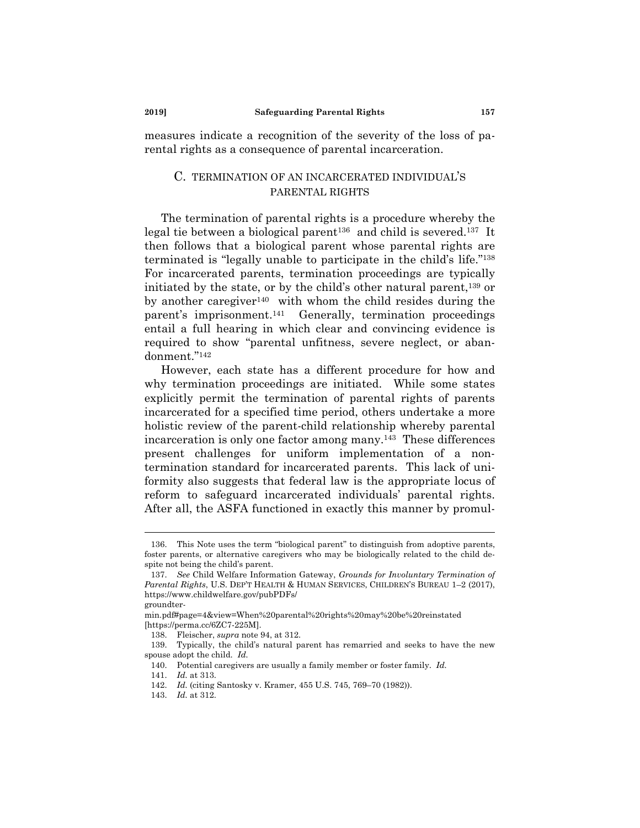measures indicate a recognition of the severity of the loss of parental rights as a consequence of parental incarceration.

#### C. TERMINATION OF AN INCARCERATED INDIVIDUAL'S PARENTAL RIGHTS

The termination of parental rights is a procedure whereby the legal tie between a biological parent<sup>136</sup> and child is severed.<sup>137</sup> It then follows that a biological parent whose parental rights are terminated is "legally unable to participate in the child's life."138 For incarcerated parents, termination proceedings are typically initiated by the state, or by the child's other natural parent,139 or by another caregiver<sup>140</sup> with whom the child resides during the parent's imprisonment.141 Generally, termination proceedings entail a full hearing in which clear and convincing evidence is required to show "parental unfitness, severe neglect, or abandonment."142

However, each state has a different procedure for how and why termination proceedings are initiated. While some states explicitly permit the termination of parental rights of parents incarcerated for a specified time period, others undertake a more holistic review of the parent-child relationship whereby parental incarceration is only one factor among many.143 These differences present challenges for uniform implementation of a nontermination standard for incarcerated parents. This lack of uniformity also suggests that federal law is the appropriate locus of reform to safeguard incarcerated individuals' parental rights. After all, the ASFA functioned in exactly this manner by promul-

 <sup>136.</sup> This Note uses the term "biological parent" to distinguish from adoptive parents, foster parents, or alternative caregivers who may be biologically related to the child despite not being the child's parent.

 <sup>137.</sup> *See* Child Welfare Information Gateway, *Grounds for Involuntary Termination of Parental Rights*, U.S. DEP'T HEALTH & HUMAN SERVICES, CHILDREN'S BUREAU 1–2 (2017), https://www.childwelfare.gov/pubPDFs/

groundter-

min.pdf#page=4&view=When%20parental%20rights%20may%20be%20reinstated [https://perma.cc/6ZC7-225M].

 <sup>138.</sup> Fleischer, *supra* note 94, at 312.

 <sup>139.</sup> Typically, the child's natural parent has remarried and seeks to have the new spouse adopt the child. *Id.*

 <sup>140.</sup> Potential caregivers are usually a family member or foster family. *Id.*

 <sup>141.</sup> *Id.* at 313.

 <sup>142.</sup> *Id.* (citing Santosky v. Kramer, 455 U.S. 745, 769–70 (1982)).

 <sup>143.</sup> *Id.* at 312.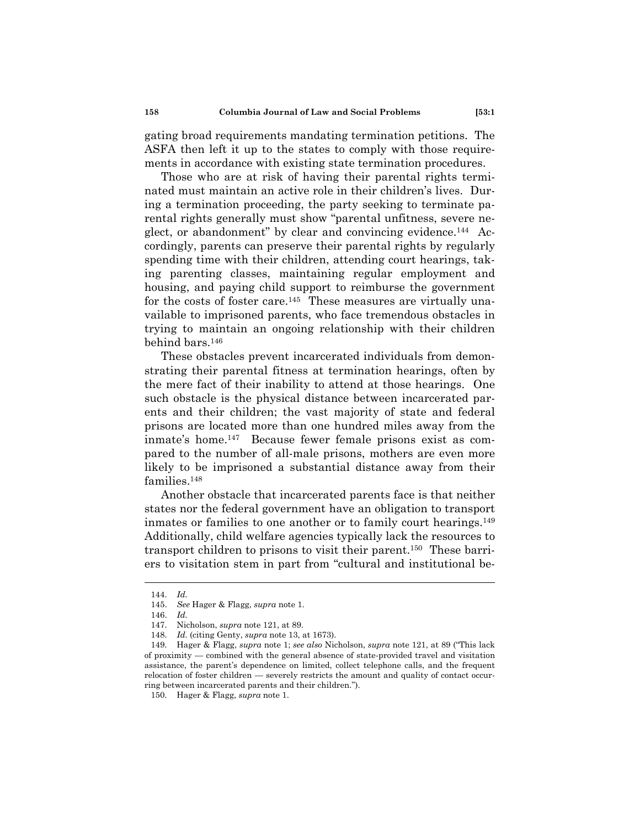gating broad requirements mandating termination petitions. The ASFA then left it up to the states to comply with those requirements in accordance with existing state termination procedures.

Those who are at risk of having their parental rights terminated must maintain an active role in their children's lives. During a termination proceeding, the party seeking to terminate parental rights generally must show "parental unfitness, severe neglect, or abandonment" by clear and convincing evidence.<sup>144</sup> Accordingly, parents can preserve their parental rights by regularly spending time with their children, attending court hearings, taking parenting classes, maintaining regular employment and housing, and paying child support to reimburse the government for the costs of foster care.<sup>145</sup> These measures are virtually unavailable to imprisoned parents, who face tremendous obstacles in trying to maintain an ongoing relationship with their children behind bars.146

These obstacles prevent incarcerated individuals from demonstrating their parental fitness at termination hearings, often by the mere fact of their inability to attend at those hearings. One such obstacle is the physical distance between incarcerated parents and their children; the vast majority of state and federal prisons are located more than one hundred miles away from the inmate's home.147 Because fewer female prisons exist as compared to the number of all-male prisons, mothers are even more likely to be imprisoned a substantial distance away from their families.148

Another obstacle that incarcerated parents face is that neither states nor the federal government have an obligation to transport inmates or families to one another or to family court hearings.149 Additionally, child welfare agencies typically lack the resources to transport children to prisons to visit their parent.150 These barriers to visitation stem in part from "cultural and institutional be-

 <sup>144.</sup> *Id.*

 <sup>145.</sup> *See* Hager & Flagg, *supra* note 1.

 <sup>146.</sup> *Id.*

 <sup>147.</sup> Nicholson, *supra* note 121, at 89.

 <sup>148.</sup> *Id.* (citing Genty, *supra* note 13, at 1673).

 <sup>149.</sup> Hager & Flagg, *supra* note 1; *see also* Nicholson, *supra* note 121, at 89 ("This lack of proximity — combined with the general absence of state-provided travel and visitation assistance, the parent's dependence on limited, collect telephone calls, and the frequent relocation of foster children — severely restricts the amount and quality of contact occurring between incarcerated parents and their children.").

 <sup>150.</sup> Hager & Flagg, *supra* note 1.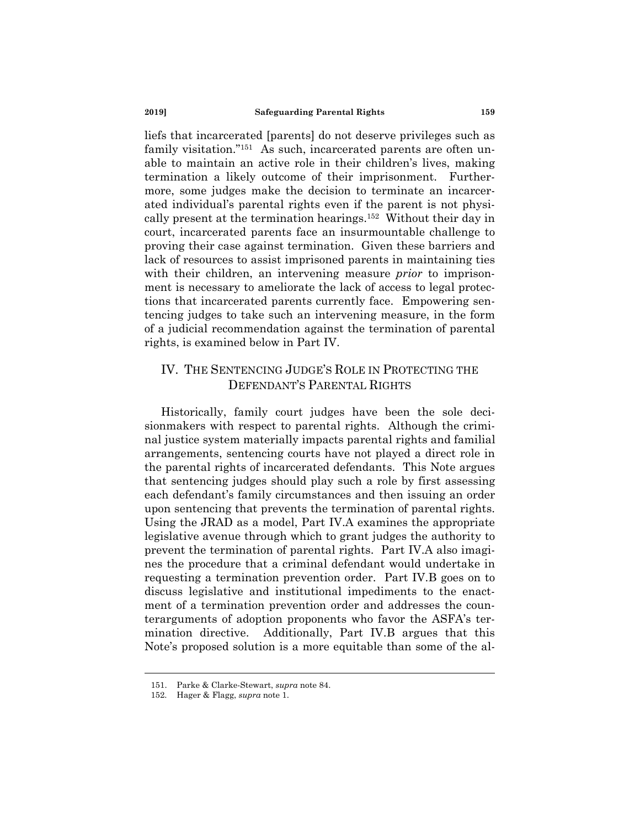liefs that incarcerated [parents] do not deserve privileges such as family visitation."<sup>151</sup> As such, incarcerated parents are often unable to maintain an active role in their children's lives, making termination a likely outcome of their imprisonment. Furthermore, some judges make the decision to terminate an incarcerated individual's parental rights even if the parent is not physically present at the termination hearings.152 Without their day in court, incarcerated parents face an insurmountable challenge to proving their case against termination. Given these barriers and lack of resources to assist imprisoned parents in maintaining ties with their children, an intervening measure *prior* to imprisonment is necessary to ameliorate the lack of access to legal protections that incarcerated parents currently face. Empowering sentencing judges to take such an intervening measure, in the form of a judicial recommendation against the termination of parental rights, is examined below in Part IV.

# IV. THE SENTENCING JUDGE'S ROLE IN PROTECTING THE DEFENDANT'S PARENTAL RIGHTS

Historically, family court judges have been the sole decisionmakers with respect to parental rights. Although the criminal justice system materially impacts parental rights and familial arrangements, sentencing courts have not played a direct role in the parental rights of incarcerated defendants. This Note argues that sentencing judges should play such a role by first assessing each defendant's family circumstances and then issuing an order upon sentencing that prevents the termination of parental rights. Using the JRAD as a model, Part IV.A examines the appropriate legislative avenue through which to grant judges the authority to prevent the termination of parental rights. Part IV.A also imagines the procedure that a criminal defendant would undertake in requesting a termination prevention order. Part IV.B goes on to discuss legislative and institutional impediments to the enactment of a termination prevention order and addresses the counterarguments of adoption proponents who favor the ASFA's termination directive. Additionally, Part IV.B argues that this Note's proposed solution is a more equitable than some of the al-

 <sup>151.</sup> Parke & Clarke-Stewart, *supra* note 84.

 <sup>152.</sup> Hager & Flagg, *supra* note 1.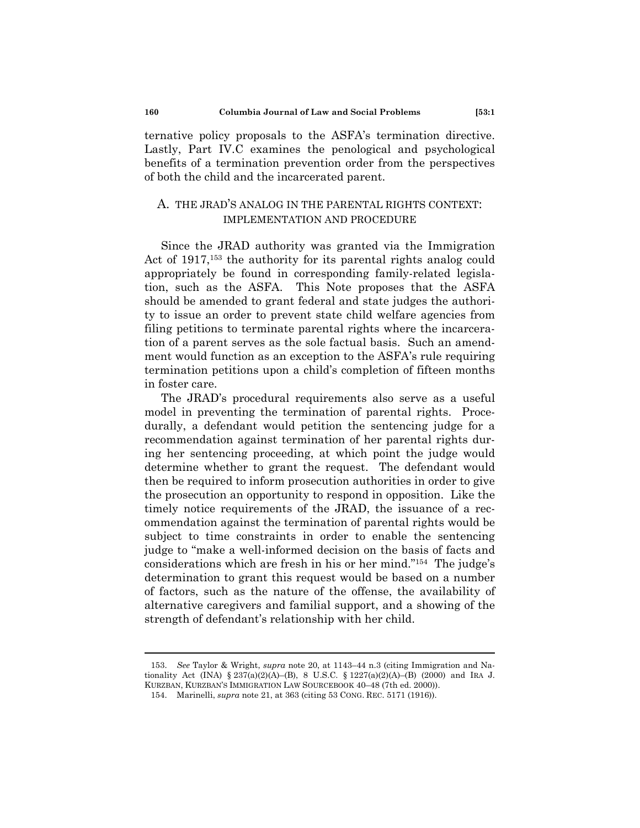ternative policy proposals to the ASFA's termination directive. Lastly, Part IV.C examines the penological and psychological benefits of a termination prevention order from the perspectives of both the child and the incarcerated parent.

### A. THE JRAD'S ANALOG IN THE PARENTAL RIGHTS CONTEXT: IMPLEMENTATION AND PROCEDURE

Since the JRAD authority was granted via the Immigration Act of 1917,<sup>153</sup> the authority for its parental rights analog could appropriately be found in corresponding family-related legislation, such as the ASFA. This Note proposes that the ASFA should be amended to grant federal and state judges the authority to issue an order to prevent state child welfare agencies from filing petitions to terminate parental rights where the incarceration of a parent serves as the sole factual basis. Such an amendment would function as an exception to the ASFA's rule requiring termination petitions upon a child's completion of fifteen months in foster care.

The JRAD's procedural requirements also serve as a useful model in preventing the termination of parental rights. Procedurally, a defendant would petition the sentencing judge for a recommendation against termination of her parental rights during her sentencing proceeding, at which point the judge would determine whether to grant the request. The defendant would then be required to inform prosecution authorities in order to give the prosecution an opportunity to respond in opposition. Like the timely notice requirements of the JRAD, the issuance of a recommendation against the termination of parental rights would be subject to time constraints in order to enable the sentencing judge to "make a well-informed decision on the basis of facts and considerations which are fresh in his or her mind."154 The judge's determination to grant this request would be based on a number of factors, such as the nature of the offense, the availability of alternative caregivers and familial support, and a showing of the strength of defendant's relationship with her child.

 <sup>153.</sup> *See* Taylor & Wright, *supra* note 20, at 1143–44 n.3 (citing Immigration and Nationality Act (INA) § 237(a)(2)(A)–(B), 8 U.S.C. § 1227(a)(2)(A)–(B) (2000) and IRA J. KURZBAN, KURZBAN'S IMMIGRATION LAW SOURCEBOOK 40–48 (7th ed. 2000)).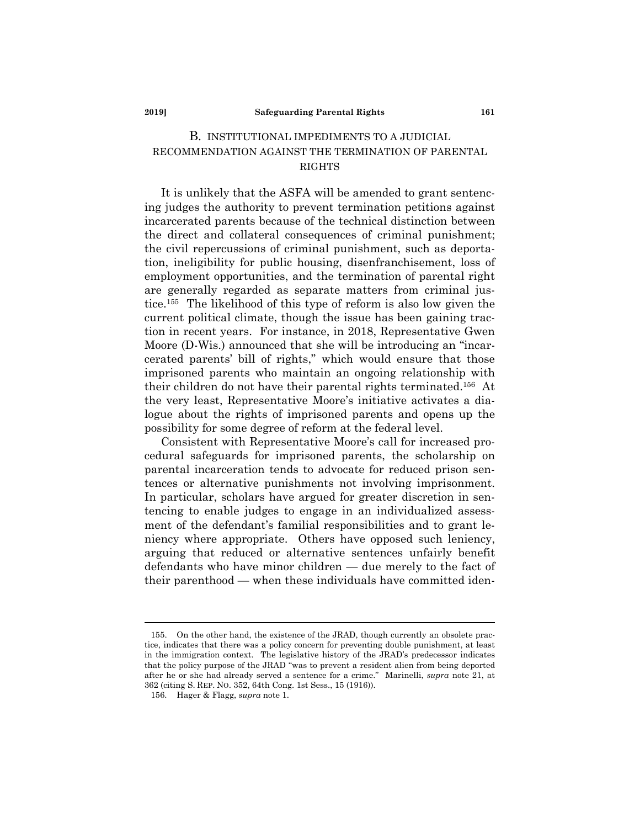#### **2019] Safeguarding Parental Rights 161**

# B. INSTITUTIONAL IMPEDIMENTS TO A JUDICIAL RECOMMENDATION AGAINST THE TERMINATION OF PARENTAL RIGHTS

It is unlikely that the ASFA will be amended to grant sentencing judges the authority to prevent termination petitions against incarcerated parents because of the technical distinction between the direct and collateral consequences of criminal punishment; the civil repercussions of criminal punishment, such as deportation, ineligibility for public housing, disenfranchisement, loss of employment opportunities, and the termination of parental right are generally regarded as separate matters from criminal justice.155 The likelihood of this type of reform is also low given the current political climate, though the issue has been gaining traction in recent years. For instance, in 2018, Representative Gwen Moore (D-Wis.) announced that she will be introducing an "incarcerated parents' bill of rights," which would ensure that those imprisoned parents who maintain an ongoing relationship with their children do not have their parental rights terminated.156 At the very least, Representative Moore's initiative activates a dialogue about the rights of imprisoned parents and opens up the possibility for some degree of reform at the federal level.

Consistent with Representative Moore's call for increased procedural safeguards for imprisoned parents, the scholarship on parental incarceration tends to advocate for reduced prison sentences or alternative punishments not involving imprisonment. In particular, scholars have argued for greater discretion in sentencing to enable judges to engage in an individualized assessment of the defendant's familial responsibilities and to grant leniency where appropriate. Others have opposed such leniency, arguing that reduced or alternative sentences unfairly benefit defendants who have minor children — due merely to the fact of their parenthood — when these individuals have committed iden-

 <sup>155.</sup> On the other hand, the existence of the JRAD, though currently an obsolete practice, indicates that there was a policy concern for preventing double punishment, at least in the immigration context. The legislative history of the JRAD's predecessor indicates that the policy purpose of the JRAD "was to prevent a resident alien from being deported after he or she had already served a sentence for a crime." Marinelli, *supra* note 21, at 362 (citing S. REP. NO. 352, 64th Cong. 1st Sess., 15 (1916)).

 <sup>156.</sup> Hager & Flagg, *supra* note 1.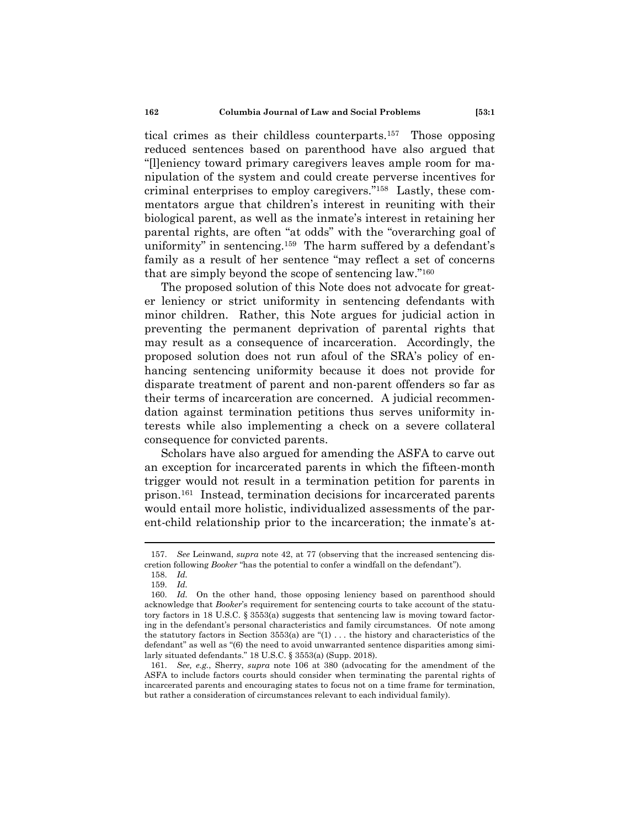tical crimes as their childless counterparts.157 Those opposing reduced sentences based on parenthood have also argued that "[l]eniency toward primary caregivers leaves ample room for manipulation of the system and could create perverse incentives for criminal enterprises to employ caregivers."158 Lastly, these commentators argue that children's interest in reuniting with their biological parent, as well as the inmate's interest in retaining her parental rights, are often "at odds" with the "overarching goal of uniformity" in sentencing.159 The harm suffered by a defendant's family as a result of her sentence "may reflect a set of concerns that are simply beyond the scope of sentencing law."160

The proposed solution of this Note does not advocate for greater leniency or strict uniformity in sentencing defendants with minor children. Rather, this Note argues for judicial action in preventing the permanent deprivation of parental rights that may result as a consequence of incarceration. Accordingly, the proposed solution does not run afoul of the SRA's policy of enhancing sentencing uniformity because it does not provide for disparate treatment of parent and non-parent offenders so far as their terms of incarceration are concerned. A judicial recommendation against termination petitions thus serves uniformity interests while also implementing a check on a severe collateral consequence for convicted parents.

Scholars have also argued for amending the ASFA to carve out an exception for incarcerated parents in which the fifteen-month trigger would not result in a termination petition for parents in prison.161 Instead, termination decisions for incarcerated parents would entail more holistic, individualized assessments of the parent-child relationship prior to the incarceration; the inmate's at-

 <sup>157.</sup> *See* Leinwand, *supra* note 42, at 77 (observing that the increased sentencing discretion following *Booker* "has the potential to confer a windfall on the defendant").

 <sup>158.</sup> *Id.*

 <sup>159.</sup> *Id.*

 <sup>160.</sup> *Id.* On the other hand, those opposing leniency based on parenthood should acknowledge that *Booker*'s requirement for sentencing courts to take account of the statutory factors in 18 U.S.C. § 3553(a) suggests that sentencing law is moving toward factoring in the defendant's personal characteristics and family circumstances. Of note among the statutory factors in Section  $3553(a)$  are " $(1)$ ... the history and characteristics of the defendant" as well as "(6) the need to avoid unwarranted sentence disparities among similarly situated defendants." 18 U.S.C. § 3553(a) (Supp. 2018).

 <sup>161.</sup> *See, e.g.*, Sherry, *supra* note 106 at 380 (advocating for the amendment of the ASFA to include factors courts should consider when terminating the parental rights of incarcerated parents and encouraging states to focus not on a time frame for termination, but rather a consideration of circumstances relevant to each individual family).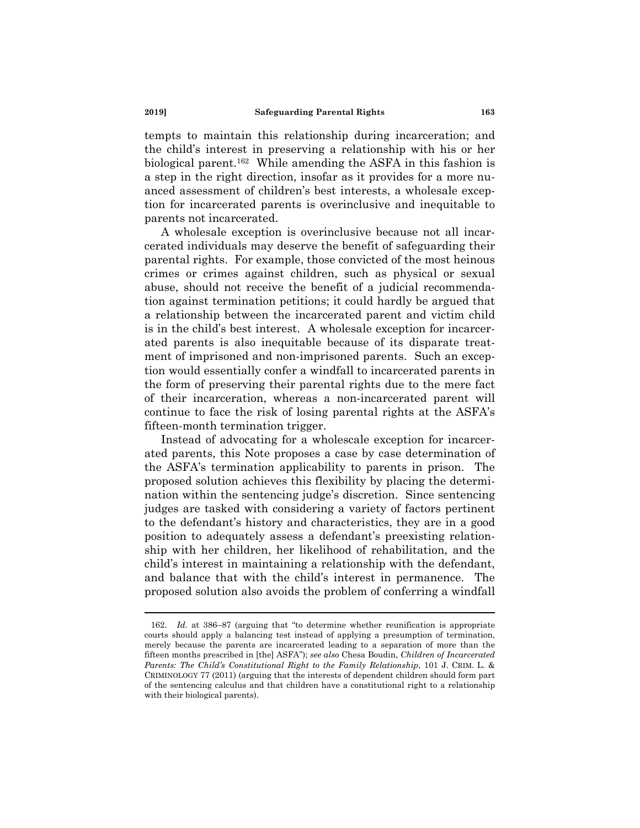tempts to maintain this relationship during incarceration; and the child's interest in preserving a relationship with his or her biological parent.162 While amending the ASFA in this fashion is a step in the right direction, insofar as it provides for a more nuanced assessment of children's best interests, a wholesale exception for incarcerated parents is overinclusive and inequitable to parents not incarcerated.

A wholesale exception is overinclusive because not all incarcerated individuals may deserve the benefit of safeguarding their parental rights. For example, those convicted of the most heinous crimes or crimes against children, such as physical or sexual abuse, should not receive the benefit of a judicial recommendation against termination petitions; it could hardly be argued that a relationship between the incarcerated parent and victim child is in the child's best interest. A wholesale exception for incarcerated parents is also inequitable because of its disparate treatment of imprisoned and non-imprisoned parents. Such an exception would essentially confer a windfall to incarcerated parents in the form of preserving their parental rights due to the mere fact of their incarceration, whereas a non-incarcerated parent will continue to face the risk of losing parental rights at the ASFA's fifteen-month termination trigger.

Instead of advocating for a wholescale exception for incarcerated parents, this Note proposes a case by case determination of the ASFA's termination applicability to parents in prison. The proposed solution achieves this flexibility by placing the determination within the sentencing judge's discretion. Since sentencing judges are tasked with considering a variety of factors pertinent to the defendant's history and characteristics, they are in a good position to adequately assess a defendant's preexisting relationship with her children, her likelihood of rehabilitation, and the child's interest in maintaining a relationship with the defendant, and balance that with the child's interest in permanence. The proposed solution also avoids the problem of conferring a windfall

 <sup>162.</sup> *Id.* at 386–87 (arguing that "to determine whether reunification is appropriate courts should apply a balancing test instead of applying a presumption of termination, merely because the parents are incarcerated leading to a separation of more than the fifteen months prescribed in [the] ASFA"); *see also* Chesa Boudin, *Children of Incarcerated Parents: The Child's Constitutional Right to the Family Relationship*, 101 J. CRIM. L. & CRIMINOLOGY 77 (2011) (arguing that the interests of dependent children should form part of the sentencing calculus and that children have a constitutional right to a relationship with their biological parents).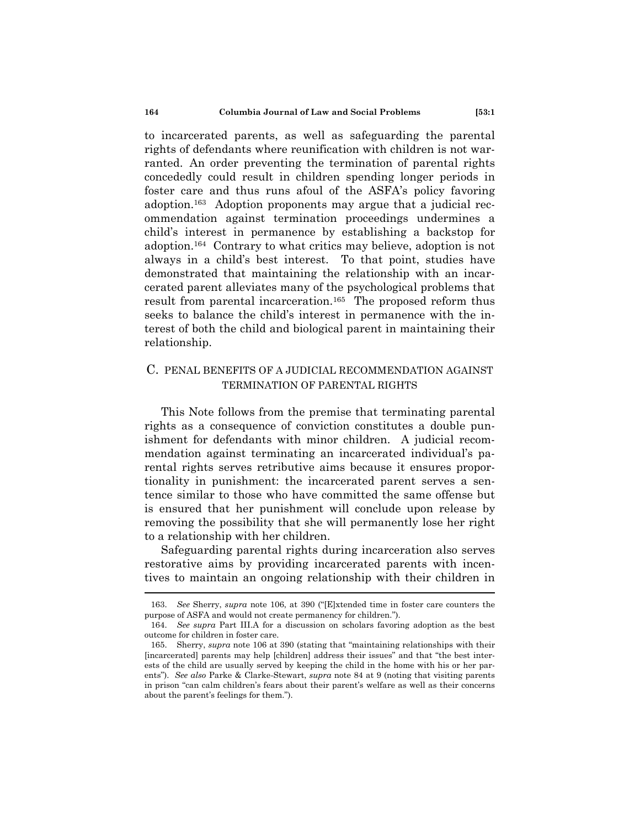to incarcerated parents, as well as safeguarding the parental rights of defendants where reunification with children is not warranted. An order preventing the termination of parental rights concededly could result in children spending longer periods in foster care and thus runs afoul of the ASFA's policy favoring adoption.163 Adoption proponents may argue that a judicial recommendation against termination proceedings undermines a child's interest in permanence by establishing a backstop for adoption.164 Contrary to what critics may believe, adoption is not always in a child's best interest. To that point, studies have demonstrated that maintaining the relationship with an incarcerated parent alleviates many of the psychological problems that result from parental incarceration.165 The proposed reform thus seeks to balance the child's interest in permanence with the interest of both the child and biological parent in maintaining their relationship.

### C. PENAL BENEFITS OF A JUDICIAL RECOMMENDATION AGAINST TERMINATION OF PARENTAL RIGHTS

This Note follows from the premise that terminating parental rights as a consequence of conviction constitutes a double punishment for defendants with minor children. A judicial recommendation against terminating an incarcerated individual's parental rights serves retributive aims because it ensures proportionality in punishment: the incarcerated parent serves a sentence similar to those who have committed the same offense but is ensured that her punishment will conclude upon release by removing the possibility that she will permanently lose her right to a relationship with her children.

Safeguarding parental rights during incarceration also serves restorative aims by providing incarcerated parents with incentives to maintain an ongoing relationship with their children in

 <sup>163.</sup> *See* Sherry, *supra* note 106, at 390 ("[E]xtended time in foster care counters the purpose of ASFA and would not create permanency for children.").

 <sup>164.</sup> *See supra* Part III.A for a discussion on scholars favoring adoption as the best outcome for children in foster care.

 <sup>165.</sup> Sherry, *supra* note 106 at 390 (stating that "maintaining relationships with their [incarcerated] parents may help [children] address their issues" and that "the best interests of the child are usually served by keeping the child in the home with his or her parents"). *See also* Parke & Clarke-Stewart, *supra* note 84 at 9 (noting that visiting parents in prison "can calm children's fears about their parent's welfare as well as their concerns about the parent's feelings for them.").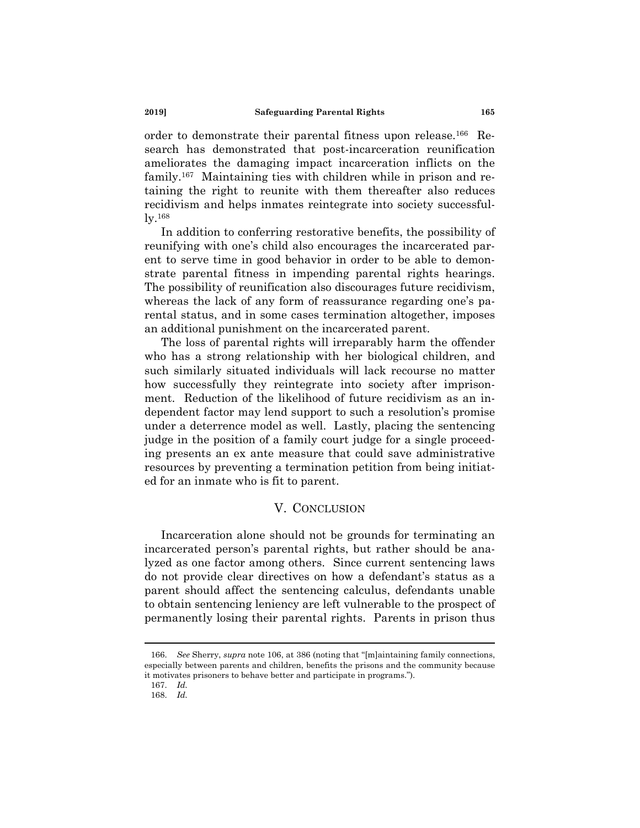order to demonstrate their parental fitness upon release.166 Research has demonstrated that post-incarceration reunification ameliorates the damaging impact incarceration inflicts on the family.167 Maintaining ties with children while in prison and retaining the right to reunite with them thereafter also reduces recidivism and helps inmates reintegrate into society successfully.168

In addition to conferring restorative benefits, the possibility of reunifying with one's child also encourages the incarcerated parent to serve time in good behavior in order to be able to demonstrate parental fitness in impending parental rights hearings. The possibility of reunification also discourages future recidivism, whereas the lack of any form of reassurance regarding one's parental status, and in some cases termination altogether, imposes an additional punishment on the incarcerated parent.

The loss of parental rights will irreparably harm the offender who has a strong relationship with her biological children, and such similarly situated individuals will lack recourse no matter how successfully they reintegrate into society after imprisonment. Reduction of the likelihood of future recidivism as an independent factor may lend support to such a resolution's promise under a deterrence model as well. Lastly, placing the sentencing judge in the position of a family court judge for a single proceeding presents an ex ante measure that could save administrative resources by preventing a termination petition from being initiated for an inmate who is fit to parent.

#### V. CONCLUSION

Incarceration alone should not be grounds for terminating an incarcerated person's parental rights, but rather should be analyzed as one factor among others. Since current sentencing laws do not provide clear directives on how a defendant's status as a parent should affect the sentencing calculus, defendants unable to obtain sentencing leniency are left vulnerable to the prospect of permanently losing their parental rights. Parents in prison thus

 <sup>166.</sup> *See* Sherry, *supra* note 106, at 386 (noting that "[m]aintaining family connections, especially between parents and children, benefits the prisons and the community because it motivates prisoners to behave better and participate in programs.").

 <sup>167.</sup> *Id.*

 <sup>168.</sup> *Id.*